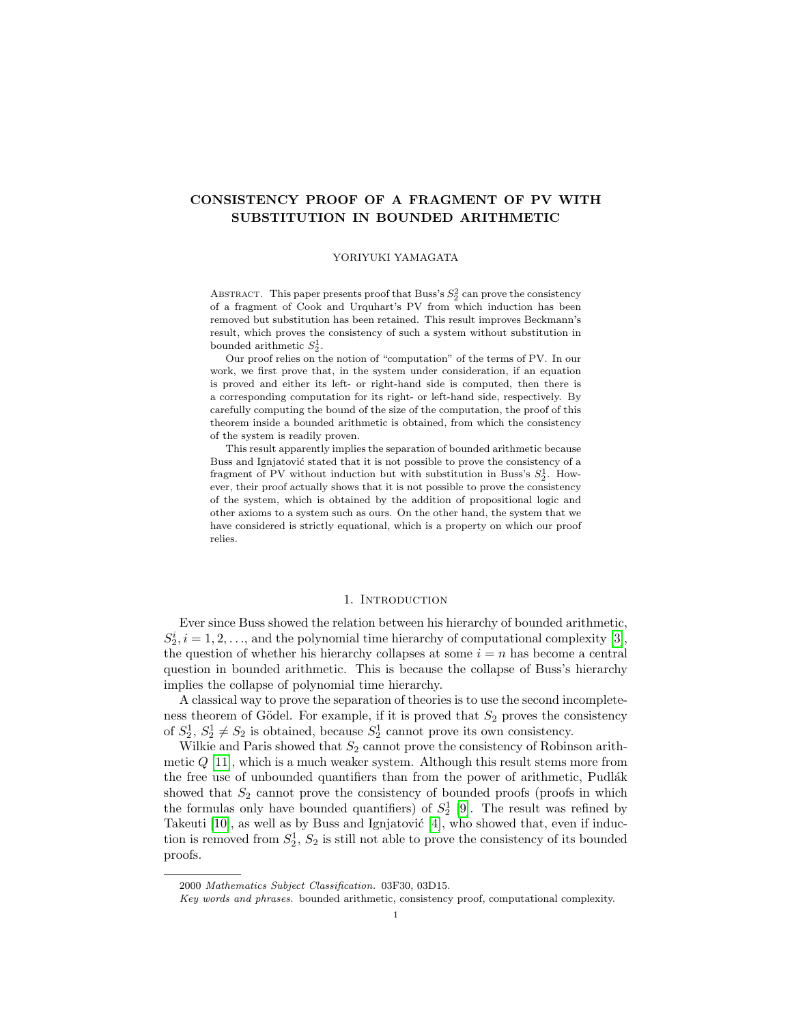# CONSISTENCY PROOF OF A FRAGMENT OF PV WITH SUBSTITUTION IN BOUNDED ARITHMETIC

### YORIYUKI YAMAGATA

ABSTRACT. This paper presents proof that Buss's  $S_2^2$  can prove the consistency of a fragment of Cook and Urquhart's PV from which induction has been removed but substitution has been retained. This result improves Beckmann's result, which proves the consistency of such a system without substitution in bounded arithmetic  $S_2^1$ .

Our proof relies on the notion of "computation" of the terms of PV. In our work, we first prove that, in the system under consideration, if an equation is proved and either its left- or right-hand side is computed, then there is a corresponding computation for its right- or left-hand side, respectively. By carefully computing the bound of the size of the computation, the proof of this theorem inside a bounded arithmetic is obtained, from which the consistency of the system is readily proven.

This result apparently implies the separation of bounded arithmetic because Buss and Ignjatović stated that it is not possible to prove the consistency of a fragment of PV without induction but with substitution in Buss's  $S_2^1$ . However, their proof actually shows that it is not possible to prove the consistency of the system, which is obtained by the addition of propositional logic and other axioms to a system such as ours. On the other hand, the system that we have considered is strictly equational, which is a property on which our proof relies.

# 1. Introduction

Ever since Buss showed the relation between his hierarchy of bounded arithmetic,  $S_2^i$ ,  $i = 1, 2, \ldots$ , and the polynomial time hierarchy of computational complexity [\[3\]](#page-27-0), the question of whether his hierarchy collapses at some  $i = n$  has become a central question in bounded arithmetic. This is because the collapse of Buss's hierarchy implies the collapse of polynomial time hierarchy.

A classical way to prove the separation of theories is to use the second incompleteness theorem of Gödel. For example, if it is proved that  $S_2$  proves the consistency of  $S_2^1$ ,  $S_2^1 \neq S_2$  is obtained, because  $S_2^1$  cannot prove its own consistency.

Wilkie and Paris showed that  $S_2$  cannot prove the consistency of Robinson arithmetic  $Q$  [\[11\]](#page-27-1), which is a much weaker system. Although this result stems more from the free use of unbounded quantifiers than from the power of arithmetic, Pudlák showed that  $S_2$  cannot prove the consistency of bounded proofs (proofs in which the formulas only have bounded quantifiers) of  $S_2^1$  [\[9\]](#page-27-2). The result was refined by Takeuti  $[10]$ , as well as by Buss and Ignjatović  $[4]$ , who showed that, even if induction is removed from  $S_2^1$ ,  $S_2$  is still not able to prove the consistency of its bounded proofs.

<sup>2000</sup> Mathematics Subject Classification. 03F30, 03D15.

Key words and phrases. bounded arithmetic, consistency proof, computational complexity.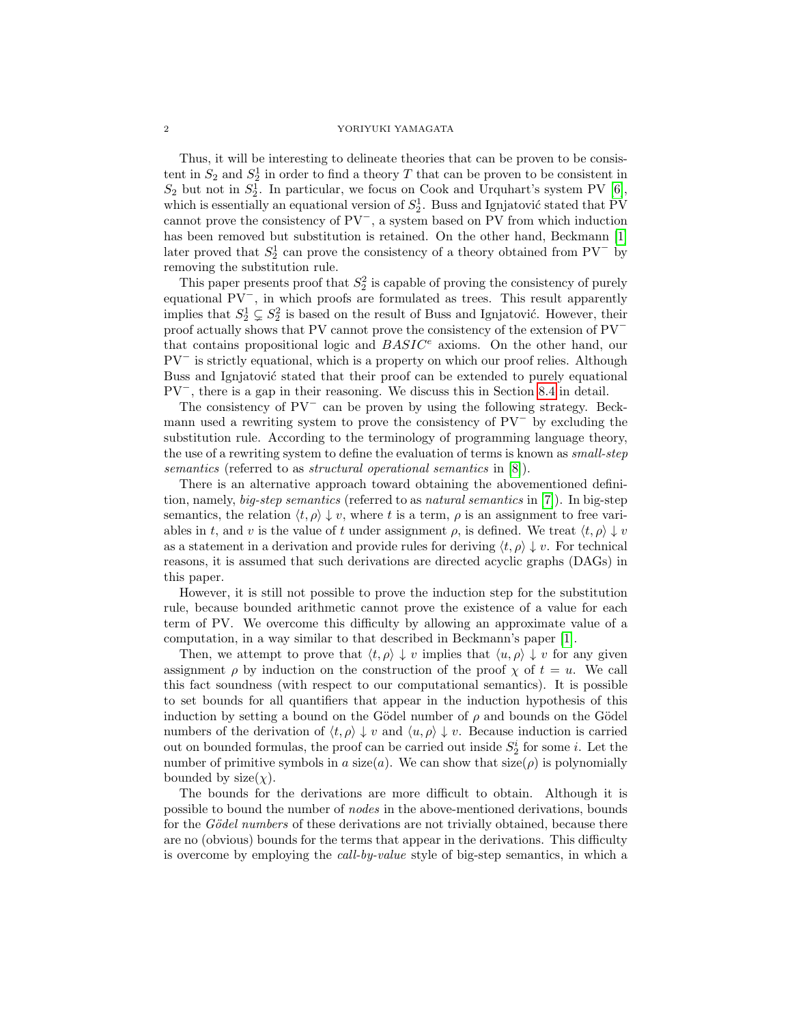Thus, it will be interesting to delineate theories that can be proven to be consistent in  $S_2$  and  $S_2^1$  in order to find a theory T that can be proven to be consistent in  $S_2$  but not in  $S_2^1$ . In particular, we focus on Cook and Urquhart's system PV [\[6\]](#page-27-5), which is essentially an equational version of  $S_2^1$ . Buss and Ignjatović stated that PV cannot prove the consistency of PV−, a system based on PV from which induction has been removed but substitution is retained. On the other hand, Beckmann [\[1\]](#page-27-6) later proved that  $S_2^1$  can prove the consistency of a theory obtained from PV<sup>-</sup> by removing the substitution rule.

This paper presents proof that  $S_2^2$  is capable of proving the consistency of purely equational PV−, in which proofs are formulated as trees. This result apparently implies that  $S_2^1 \subsetneq S_2^2$  is based on the result of Buss and Ignjatović. However, their proof actually shows that PV cannot prove the consistency of the extension of PV<sup>−</sup> that contains propositional logic and  $BASIC<sup>e</sup>$  axioms. On the other hand, our PV<sup>−</sup> is strictly equational, which is a property on which our proof relies. Although Buss and Ignjatović stated that their proof can be extended to purely equational PV<sup>−</sup>, there is a gap in their reasoning. We discuss this in Section [8.4](#page-26-0) in detail.

The consistency of  $PV^-$  can be proven by using the following strategy. Beckmann used a rewriting system to prove the consistency of PV<sup>−</sup> by excluding the substitution rule. According to the terminology of programming language theory, the use of a rewriting system to define the evaluation of terms is known as *small-step* semantics (referred to as *structural operational semantics* in [\[8\]](#page-27-7)).

There is an alternative approach toward obtaining the abovementioned definition, namely, big-step semantics (referred to as natural semantics in [\[7\]](#page-27-8)). In big-step semantics, the relation  $\langle t, \rho \rangle \downarrow v$ , where t is a term,  $\rho$  is an assignment to free variables in t, and v is the value of t under assignment  $\rho$ , is defined. We treat  $\langle t, \rho \rangle \downarrow v$ as a statement in a derivation and provide rules for deriving  $\langle t, \rho \rangle \downarrow v$ . For technical reasons, it is assumed that such derivations are directed acyclic graphs (DAGs) in this paper.

However, it is still not possible to prove the induction step for the substitution rule, because bounded arithmetic cannot prove the existence of a value for each term of PV. We overcome this difficulty by allowing an approximate value of a computation, in a way similar to that described in Beckmann's paper [\[1\]](#page-27-6).

Then, we attempt to prove that  $\langle t, \rho \rangle \downarrow v$  implies that  $\langle u, \rho \rangle \downarrow v$  for any given assignment  $\rho$  by induction on the construction of the proof  $\chi$  of  $t = u$ . We call this fact soundness (with respect to our computational semantics). It is possible to set bounds for all quantifiers that appear in the induction hypothesis of this induction by setting a bound on the Gödel number of  $\rho$  and bounds on the Gödel numbers of the derivation of  $\langle t, \rho \rangle \downarrow v$  and  $\langle u, \rho \rangle \downarrow v$ . Because induction is carried out on bounded formulas, the proof can be carried out inside  $S_2^i$  for some *i*. Let the number of primitive symbols in a size(a). We can show that  $size(\rho)$  is polynomially bounded by  $size(\chi)$ .

The bounds for the derivations are more difficult to obtain. Although it is possible to bound the number of nodes in the above-mentioned derivations, bounds for the Gödel numbers of these derivations are not trivially obtained, because there are no (obvious) bounds for the terms that appear in the derivations. This difficulty is overcome by employing the *call-by-value* style of big-step semantics, in which a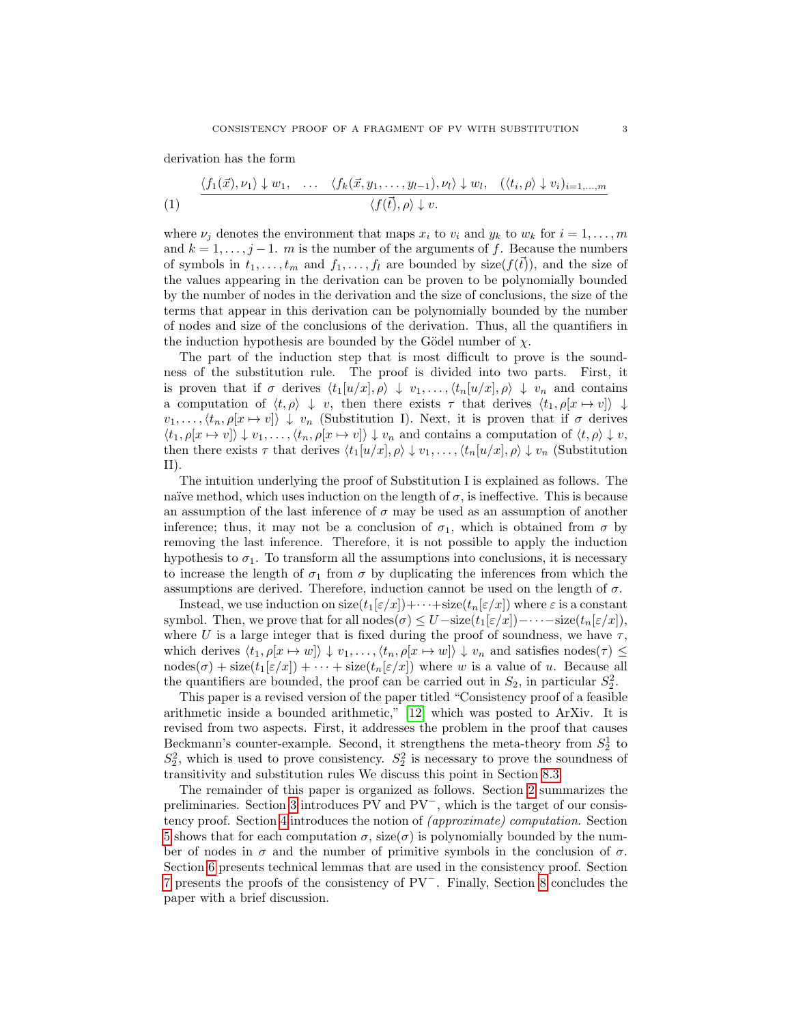derivation has the form

(1) 
$$
\frac{\langle f_1(\vec{x}), \nu_1 \rangle \downarrow w_1, \dots, \langle f_k(\vec{x}, y_1, \dots, y_{l-1}), \nu_l \rangle \downarrow w_l, \quad (\langle t_i, \rho \rangle \downarrow v_i)_{i=1,\dots,m}}{\langle f(\vec{t}), \rho \rangle \downarrow v}.
$$

where  $\nu_j$  denotes the environment that maps  $x_i$  to  $v_i$  and  $y_k$  to  $w_k$  for  $i = 1, \ldots, m$ and  $k = 1, \ldots, j - 1$ . *m* is the number of the arguments of f. Because the numbers of symbols in  $t_1, \ldots, t_m$  and  $f_1, \ldots, f_l$  are bounded by size( $f(\vec{t})$ ), and the size of the values appearing in the derivation can be proven to be polynomially bounded by the number of nodes in the derivation and the size of conclusions, the size of the terms that appear in this derivation can be polynomially bounded by the number of nodes and size of the conclusions of the derivation. Thus, all the quantifiers in the induction hypothesis are bounded by the Gödel number of  $\chi$ .

The part of the induction step that is most difficult to prove is the soundness of the substitution rule. The proof is divided into two parts. First, it is proven that if  $\sigma$  derives  $\langle t_1[u/x], \rho \rangle \downarrow v_1, \ldots, \langle t_n[u/x], \rho \rangle \downarrow v_n$  and contains a computation of  $\langle t, \rho \rangle \downarrow v$ , then there exists  $\tau$  that derives  $\langle t_1, \rho | x \mapsto v \rangle \downarrow$  $v_1, \ldots, \langle t_n, \rho[x \mapsto v]\rangle \downarrow v_n$  (Substitution I). Next, it is proven that if  $\sigma$  derives  $\langle t_1, \rho[x \mapsto v]\rangle \downarrow v_1, \ldots, \langle t_n, \rho[x \mapsto v]\rangle \downarrow v_n$  and contains a computation of  $\langle t, \rho \rangle \downarrow v$ , then there exists  $\tau$  that derives  $\langle t_1[u/x], \rho \rangle \downarrow v_1, \ldots, \langle t_n[u/x], \rho \rangle \downarrow v_n$  (Substitution II).

The intuition underlying the proof of Substitution I is explained as follows. The naïve method, which uses induction on the length of  $\sigma$ , is ineffective. This is because an assumption of the last inference of  $\sigma$  may be used as an assumption of another inference; thus, it may not be a conclusion of  $\sigma_1$ , which is obtained from  $\sigma$  by removing the last inference. Therefore, it is not possible to apply the induction hypothesis to  $\sigma_1$ . To transform all the assumptions into conclusions, it is necessary to increase the length of  $\sigma_1$  from  $\sigma$  by duplicating the inferences from which the assumptions are derived. Therefore, induction cannot be used on the length of  $\sigma$ .

Instead, we use induction on  $size(t_1[\varepsilon/x]) + \cdots + size(t_n[\varepsilon/x])$  where  $\varepsilon$  is a constant symbol. Then, we prove that for all nodes $(\sigma) \leq U$  -size $(t_1[\varepsilon/x])$  - · · · -size $(t_n[\varepsilon/x])$ , where U is a large integer that is fixed during the proof of soundness, we have  $\tau$ , which derives  $\langle t_1, \rho[x \mapsto w]\rangle \downarrow v_1, \ldots, \langle t_n, \rho[x \mapsto w]\rangle \downarrow v_n$  and satisfies nodes( $\tau$ )  $\leq$  $\text{nodes}(\sigma) + \text{size}(t_1[\varepsilon/x]) + \cdots + \text{size}(t_n[\varepsilon/x])$  where w is a value of u. Because all the quantifiers are bounded, the proof can be carried out in  $S_2$ , in particular  $S_2^2$ .

This paper is a revised version of the paper titled "Consistency proof of a feasible arithmetic inside a bounded arithmetic," [\[12\]](#page-27-9) which was posted to ArXiv. It is revised from two aspects. First, it addresses the problem in the proof that causes Beckmann's counter-example. Second, it strengthens the meta-theory from  $S_2^1$  to  $S_2^2$ , which is used to prove consistency.  $S_2^2$  is necessary to prove the soundness of transitivity and substitution rules We discuss this point in Section [8.3.](#page-25-0)

The remainder of this paper is organized as follows. Section [2](#page-3-0) summarizes the preliminaries. Section [3](#page-3-1) introduces PV and PV<sup>−</sup>, which is the target of our consistency proof. Section [4](#page-5-0) introduces the notion of (approximate) computation. Section [5](#page-8-0) shows that for each computation  $\sigma$ , size( $\sigma$ ) is polynomially bounded by the number of nodes in  $\sigma$  and the number of primitive symbols in the conclusion of  $\sigma$ . Section [6](#page-11-0) presents technical lemmas that are used in the consistency proof. Section [7](#page-21-0) presents the proofs of the consistency of PV<sup>−</sup>. Finally, Section [8](#page-24-0) concludes the paper with a brief discussion.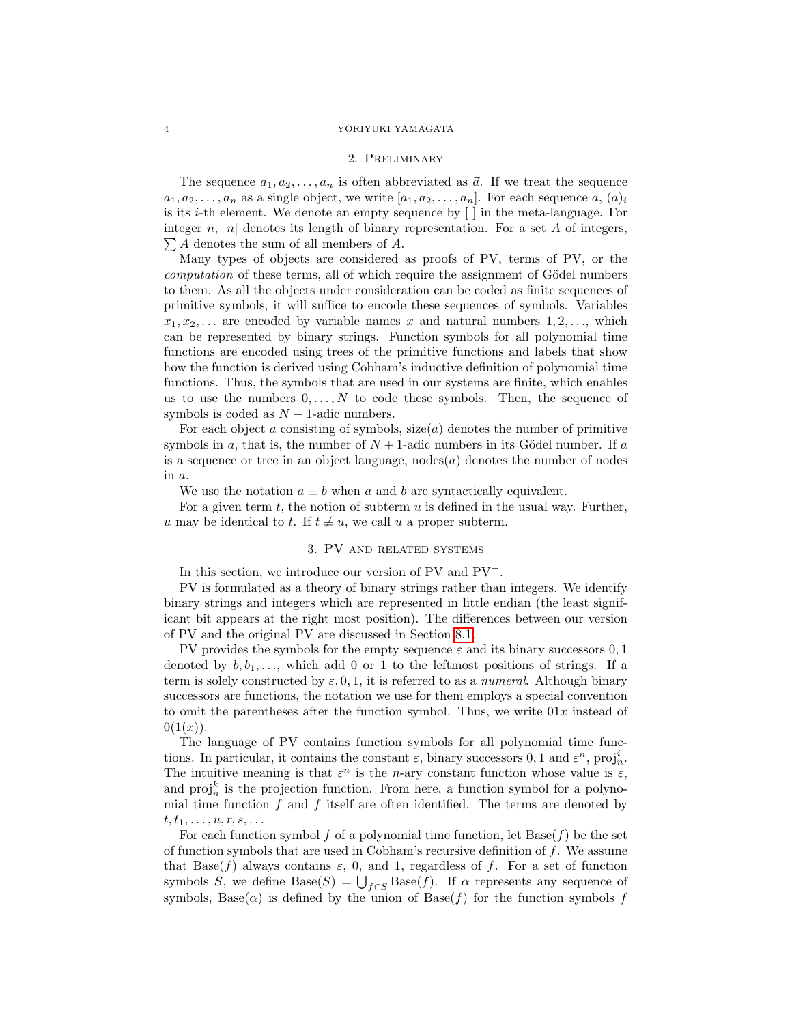# 2. Preliminary

<span id="page-3-0"></span>The sequence  $a_1, a_2, \ldots, a_n$  is often abbreviated as  $\vec{a}$ . If we treat the sequence  $a_1, a_2, \ldots, a_n$  as a single object, we write  $[a_1, a_2, \ldots, a_n]$ . For each sequence  $a, (a)_i$ is its  $i$ -th element. We denote an empty sequence by  $[]$  in the meta-language. For integer  $n$ , |n| denotes its length of binary representation. For a set A of integers,  $\sum A$  denotes the sum of all members of A.

Many types of objects are considered as proofs of PV, terms of PV, or the computation of these terms, all of which require the assignment of Gödel numbers to them. As all the objects under consideration can be coded as finite sequences of primitive symbols, it will suffice to encode these sequences of symbols. Variables  $x_1, x_2, \ldots$  are encoded by variable names x and natural numbers  $1, 2, \ldots$ , which can be represented by binary strings. Function symbols for all polynomial time functions are encoded using trees of the primitive functions and labels that show how the function is derived using Cobham's inductive definition of polynomial time functions. Thus, the symbols that are used in our systems are finite, which enables us to use the numbers  $0, \ldots, N$  to code these symbols. Then, the sequence of symbols is coded as  $N + 1$ -adic numbers.

For each object a consisting of symbols,  $size(a)$  denotes the number of primitive symbols in a, that is, the number of  $N + 1$ -adic numbers in its Gödel number. If a is a sequence or tree in an object language, nodes $(a)$  denotes the number of nodes in a.

We use the notation  $a \equiv b$  when a and b are syntactically equivalent.

For a given term  $t$ , the notion of subterm  $u$  is defined in the usual way. Further, u may be identical to t. If  $t \neq u$ , we call u a proper subterm.

# 3. PV and related systems

<span id="page-3-1"></span>In this section, we introduce our version of PV and PV<sup>−</sup>.

PV is formulated as a theory of binary strings rather than integers. We identify binary strings and integers which are represented in little endian (the least significant bit appears at the right most position). The differences between our version of PV and the original PV are discussed in Section [8.1.](#page-24-1)

PV provides the symbols for the empty sequence  $\varepsilon$  and its binary successors 0, 1 denoted by  $b, b_1, \ldots$ , which add 0 or 1 to the leftmost positions of strings. If a term is solely constructed by  $\varepsilon$ , 0, 1, it is referred to as a numeral. Although binary successors are functions, the notation we use for them employs a special convention to omit the parentheses after the function symbol. Thus, we write  $01x$  instead of  $0(1(x)).$ 

The language of PV contains function symbols for all polynomial time functions. In particular, it contains the constant  $\varepsilon$ , binary successors  $0, 1$  and  $\varepsilon^n$ ,  $proj_n^i$ . The intuitive meaning is that  $\varepsilon^n$  is the *n*-ary constant function whose value is  $\varepsilon$ , and  $\text{proj}_n^k$  is the projection function. From here, a function symbol for a polynomial time function  $f$  and  $f$  itself are often identified. The terms are denoted by  $t, t_1, \ldots, u, r, s, \ldots$ 

For each function symbol f of a polynomial time function, let  $Base(f)$  be the set of function symbols that are used in Cobham's recursive definition of  $f$ . We assume that Base(f) always contains  $\varepsilon$ , 0, and 1, regardless of f. For a set of function symbols S, we define  $Base(S) = \bigcup_{f \in S} Base(f)$ . If  $\alpha$  represents any sequence of symbols, Base( $\alpha$ ) is defined by the union of Base(f) for the function symbols f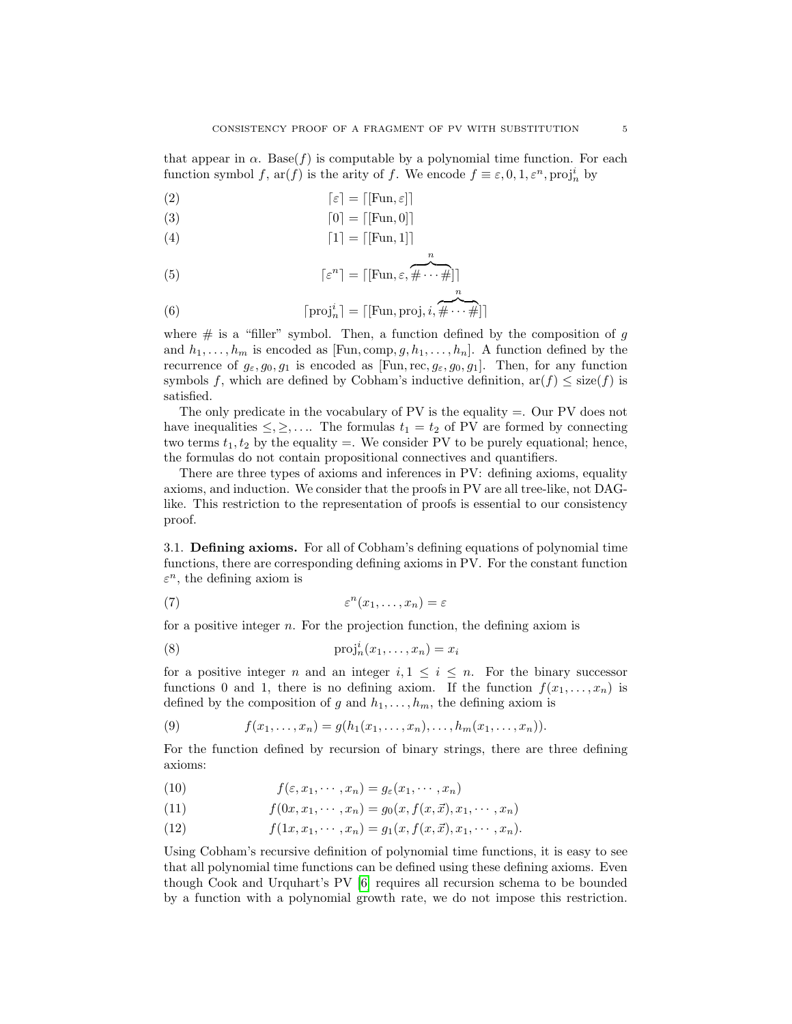that appear in  $\alpha$ . Base(f) is computable by a polynomial time function. For each function symbol f,  $ar(f)$  is the arity of f. We encode  $f \equiv \varepsilon, 0, 1, \varepsilon^n$ , proj<sup>i</sup><sub>n</sub> by

$$
\text{(2)} \qquad \qquad [\varepsilon] = \text{[[Fun}, \varepsilon] \text{]}
$$

$$
\lceil 0 \rceil = \lceil [\text{Fun}, 0] \rceil
$$

$$
\lceil 1 \rceil = \lceil [\text{Fun}, 1] \rceil
$$

(5) 
$$
\lceil \varepsilon^n \rceil = \lceil [\text{Fun}, \varepsilon, \overbrace{\# \cdots \#}^n \rceil]
$$

(6) 
$$
[\text{proj}_n^i] = [[\text{Fun}, \text{proj}, i, \overbrace{\# \cdots \#}]]
$$

where  $\#$  is a "filler" symbol. Then, a function defined by the composition of g and  $h_1, \ldots, h_m$  is encoded as [Fun, comp,  $g, h_1, \ldots, h_n$ ]. A function defined by the recurrence of  $g_{\varepsilon}, g_0, g_1$  is encoded as [Fun, rec,  $g_{\varepsilon}, g_0, g_1$ ]. Then, for any function symbols f, which are defined by Cobham's inductive definition,  $ar(f) \leq size(f)$  is satisfied.

The only predicate in the vocabulary of PV is the equality =. Our PV does not have inequalities  $\leq, \geq, \ldots$  The formulas  $t_1 = t_2$  of PV are formed by connecting two terms  $t_1, t_2$  by the equality =. We consider PV to be purely equational; hence, the formulas do not contain propositional connectives and quantifiers.

There are three types of axioms and inferences in PV: defining axioms, equality axioms, and induction. We consider that the proofs in PV are all tree-like, not DAGlike. This restriction to the representation of proofs is essential to our consistency proof.

3.1. Defining axioms. For all of Cobham's defining equations of polynomial time functions, there are corresponding defining axioms in PV. For the constant function  $\varepsilon^n$ , the defining axiom is

(7) 
$$
\varepsilon^{n}(x_{1},\ldots,x_{n})=\varepsilon
$$

for a positive integer  $n$ . For the projection function, the defining axiom is

(8) 
$$
\operatorname{proj}_n^i(x_1,\ldots,x_n)=x_i
$$

for a positive integer n and an integer  $i, 1 \leq i \leq n$ . For the binary successor functions 0 and 1, there is no defining axiom. If the function  $f(x_1, \ldots, x_n)$  is defined by the composition of g and  $h_1, \ldots, h_m$ , the defining axiom is

(9) 
$$
f(x_1,...,x_n) = g(h_1(x_1,...,x_n),...,h_m(x_1,...,x_n)).
$$

For the function defined by recursion of binary strings, there are three defining axioms:

(10) 
$$
f(\varepsilon, x_1, \cdots, x_n) = g_{\varepsilon}(x_1, \cdots, x_n)
$$

(11) 
$$
f(0x, x_1, \cdots, x_n) = g_0(x, f(x, \vec{x}), x_1, \cdots, x_n)
$$

(12) 
$$
f(1x, x_1, \cdots, x_n) = g_1(x, f(x, \vec{x}), x_1, \cdots, x_n).
$$

Using Cobham's recursive definition of polynomial time functions, it is easy to see that all polynomial time functions can be defined using these defining axioms. Even though Cook and Urquhart's PV [\[6\]](#page-27-5) requires all recursion schema to be bounded by a function with a polynomial growth rate, we do not impose this restriction.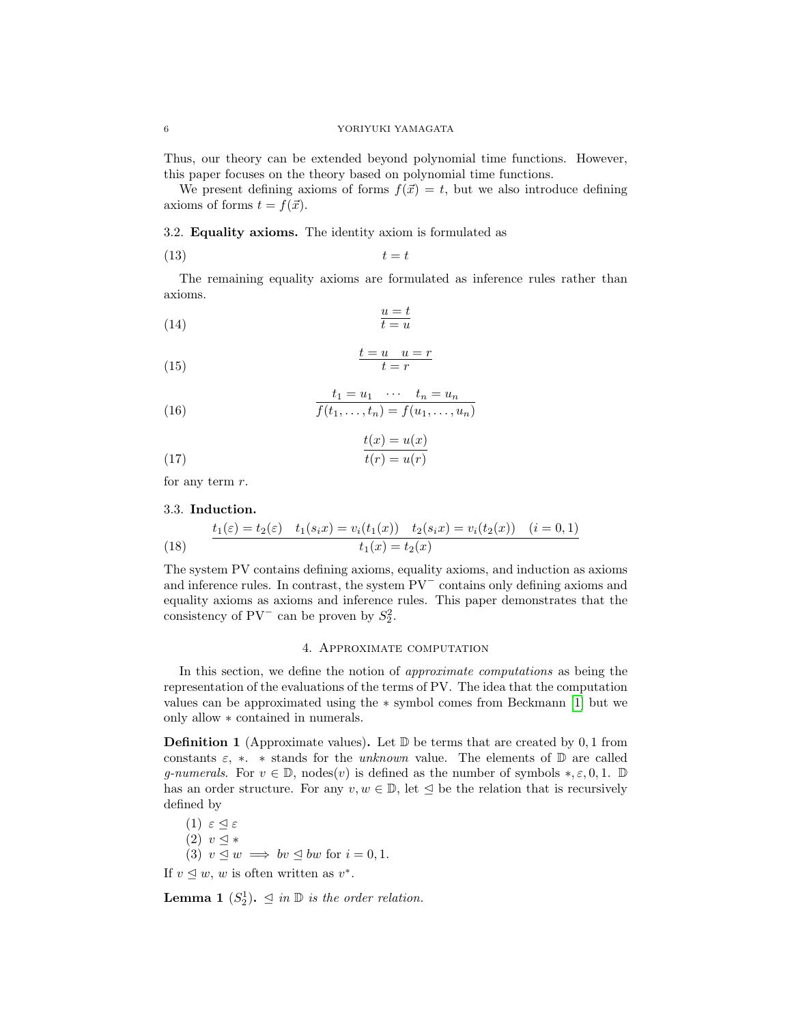Thus, our theory can be extended beyond polynomial time functions. However, this paper focuses on the theory based on polynomial time functions.

We present defining axioms of forms  $f(\vec{x}) = t$ , but we also introduce defining axioms of forms  $t = f(\vec{x})$ .

3.2. Equality axioms. The identity axiom is formulated as

$$
(13) \t\t t = t
$$

The remaining equality axioms are formulated as inference rules rather than axioms.

$$
\frac{u=t}{t=u}
$$

$$
\frac{t=u}{t=r} = \frac{u}{t}
$$

(16) 
$$
\frac{t_1 = u_1 \cdots t_n = u_n}{f(t_1, \ldots, t_n) = f(u_1, \ldots, u_n)}
$$

$$
\frac{t(x) = u(x)}{t(r) = u(r)}
$$

for any term  $r$ .

# 3.3. Induction.

(18) 
$$
\frac{t_1(\varepsilon) = t_2(\varepsilon) \quad t_1(s_i x) = v_i(t_1(x)) \quad t_2(s_i x) = v_i(t_2(x)) \quad (i = 0, 1)}{t_1(x) = t_2(x)}
$$

The system PV contains defining axioms, equality axioms, and induction as axioms and inference rules. In contrast, the system PV<sup>−</sup> contains only defining axioms and equality axioms as axioms and inference rules. This paper demonstrates that the consistency of  $PV^-$  can be proven by  $S_2^2$ .

# 4. Approximate computation

<span id="page-5-0"></span>In this section, we define the notion of approximate computations as being the representation of the evaluations of the terms of PV. The idea that the computation values can be approximated using the ∗ symbol comes from Beckmann [\[1\]](#page-27-6) but we only allow ∗ contained in numerals.

**Definition 1** (Approximate values). Let  $\mathbb{D}$  be terms that are created by 0, 1 from constants  $\varepsilon$ ,  $\ast$ .  $\ast$  stands for the *unknown* value. The elements of  $\mathbb{D}$  are called g-numerals. For  $v \in \mathbb{D}$ , nodes $(v)$  is defined as the number of symbols  $*, \varepsilon, 0, 1$ .  $\mathbb{D}$ has an order structure. For any  $v, w \in \mathbb{D}$ , let  $\leq$  be the relation that is recursively defined by

(1)  $\varepsilon \leq \varepsilon$  $(2)$   $v \triangleleft *$ (3)  $v \trianglelefteq w \implies bv \trianglelefteq bw$  for  $i = 0, 1$ .

If  $v \leq w$ , w is often written as  $v^*$ .

**Lemma 1**  $(S_2^1)$ .  $\leq in \mathbb{D}$  is the order relation.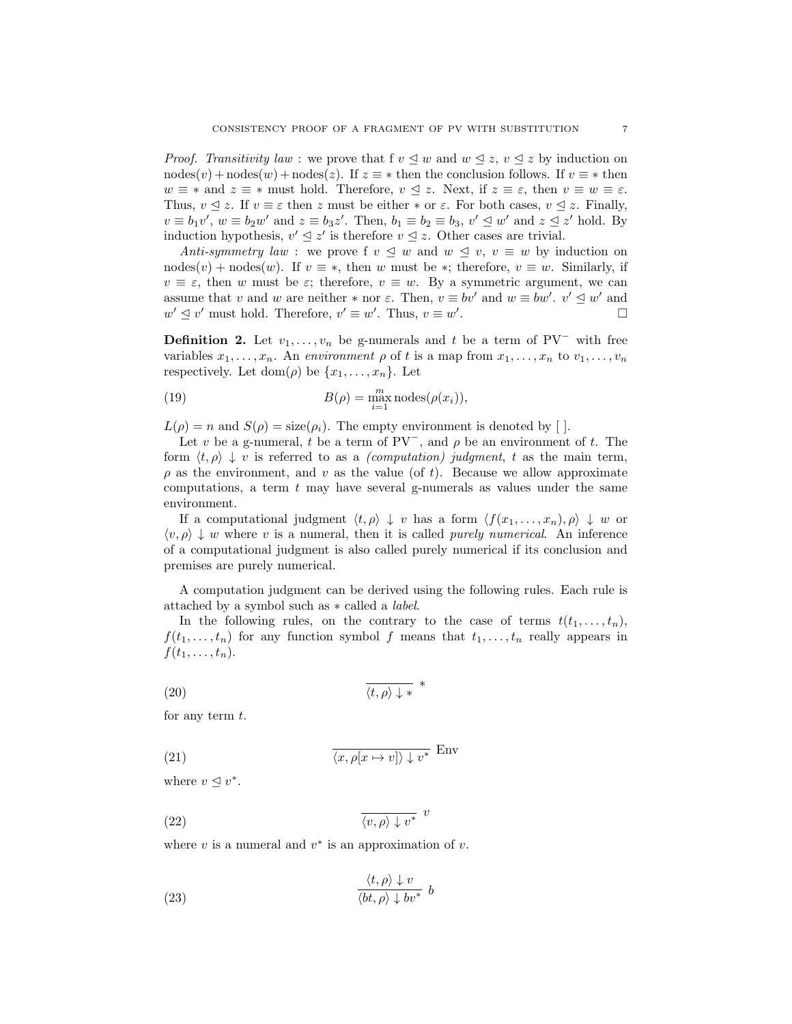*Proof. Transitivity law*: we prove that  $f v \triangleleft w$  and  $w \triangleleft z$ ,  $v \triangleleft z$  by induction on  $\text{nodes}(v) + \text{nodes}(w) + \text{nodes}(z)$ . If  $z \equiv *$  then the conclusion follows. If  $v \equiv *$  then  $w \equiv *$  and  $z \equiv *$  must hold. Therefore,  $v \leq z$ . Next, if  $z \equiv \varepsilon$ , then  $v \equiv w \equiv \varepsilon$ . Thus,  $v \leq z$ . If  $v \equiv \varepsilon$  then z must be either  $*$  or  $\varepsilon$ . For both cases,  $v \leq z$ . Finally,  $v \equiv b_1v'$ ,  $w \equiv b_2w'$  and  $z \equiv b_3z'$ . Then,  $b_1 \equiv b_2 \equiv b_3$ ,  $v' \leq w'$  and  $z \leq z'$  hold. By induction hypothesis,  $v' \leq z'$  is therefore  $v \leq z$ . Other cases are trivial.

Anti-symmetry law : we prove f v  $\leq w$  and  $w \leq v$ ,  $v \equiv w$  by induction on nodes $(v)$  + nodes $(w)$ . If  $v \equiv *$ , then w must be  $*$ ; therefore,  $v \equiv w$ . Similarly, if  $v \equiv \varepsilon$ , then w must be  $\varepsilon$ ; therefore,  $v \equiv w$ . By a symmetric argument, we can assume that v and w are neither  $*$  nor  $\varepsilon$ . Then,  $v \equiv bv'$  and  $w \equiv bw'$ .  $v' \trianglelefteq w'$  and  $w' \leq v'$  must hold. Therefore,  $v' \equiv w'$ . Thus,  $v \equiv w'$ . — Процессиональные производствование и производствование и производствование и производствование и производс<br>В 1990 году в 1990 году в 1990 году в 1990 году в 1990 году в 1990 году в 1990 году в 1990 году в 1990 году в<br>

**Definition 2.** Let  $v_1, \ldots, v_n$  be g-numerals and t be a term of PV<sup>-</sup> with free variables  $x_1, \ldots, x_n$ . An environment  $\rho$  of t is a map from  $x_1, \ldots, x_n$  to  $v_1, \ldots, v_n$ respectively. Let dom( $\rho$ ) be  $\{x_1, \ldots, x_n\}$ . Let

(19) 
$$
B(\rho) = \max_{i=1}^{m} \text{nodes}(\rho(x_i)),
$$

 $L(\rho) = n$  and  $S(\rho) = \text{size}(\rho_i)$ . The empty environment is denoted by [].

Let v be a g-numeral, t be a term of  $PV^-$ , and  $\rho$  be an environment of t. The form  $\langle t, \rho \rangle \downarrow v$  is referred to as a *(computation) judgment*, t as the main term,  $\rho$  as the environment, and v as the value (of t). Because we allow approximate computations, a term  $t$  may have several g-numerals as values under the same environment.

If a computational judgment  $\langle t, \rho \rangle \downarrow v$  has a form  $\langle f(x_1, \ldots, x_n), \rho \rangle \downarrow w$  or  $\langle v, \rho \rangle \downarrow w$  where v is a numeral, then it is called *purely numerical*. An inference of a computational judgment is also called purely numerical if its conclusion and premises are purely numerical.

A computation judgment can be derived using the following rules. Each rule is attached by a symbol such as ∗ called a label.

In the following rules, on the contrary to the case of terms  $t(t_1, \ldots, t_n)$ ,  $f(t_1, \ldots, t_n)$  for any function symbol f means that  $t_1, \ldots, t_n$  really appears in  $f(t_1,\ldots,t_n).$ 

$$
\frac{\langle 20 \rangle}{\langle t, \rho \rangle \downarrow *} *
$$

for any term  $t$ .

(21) 
$$
\overline{\langle x, \rho[x \mapsto v] \rangle \downarrow v^*} \quad \text{Env}
$$

where  $v \leq v^*$ .

$$
\frac{\langle 22 \rangle}{\langle v, \rho \rangle \downarrow v^*} v
$$

where  $v$  is a numeral and  $v^*$  is an approximation of  $v$ .

(23) 
$$
\frac{\langle t, \rho \rangle \downarrow v}{\langle bt, \rho \rangle \downarrow bv^*} b
$$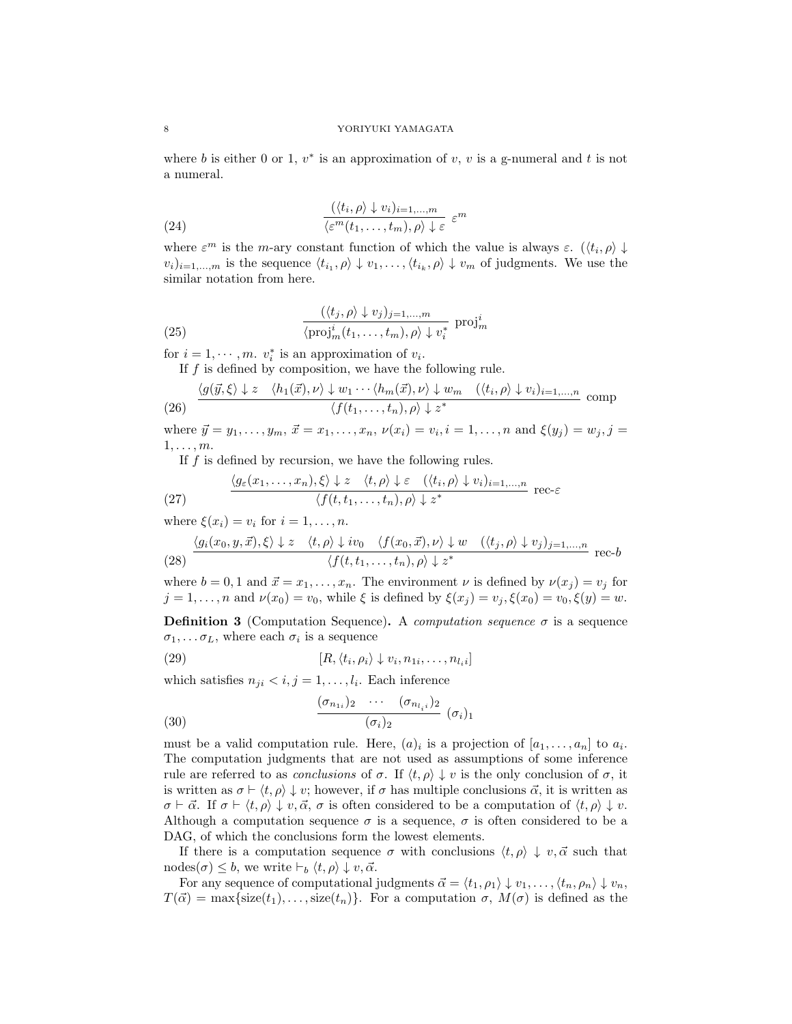where b is either 0 or 1,  $v^*$  is an approximation of v, v is a g-numeral and t is not a numeral.

(24) 
$$
\frac{(\langle t_i, \rho \rangle \downarrow v_i)_{i=1,\dots,m}}{\langle \varepsilon^m(t_1,\dots,t_m), \rho \rangle \downarrow \varepsilon} \varepsilon^m
$$

where  $\varepsilon^m$  is the *m*-ary constant function of which the value is always  $\varepsilon$ .  $(\langle t_i, \rho \rangle \downarrow$  $(v_i)_{i=1,\dots,m}$  is the sequence  $\langle t_{i_1}, \rho \rangle \downarrow v_1, \dots, \langle t_{i_k}, \rho \rangle \downarrow v_m$  of judgments. We use the similar notation from here.

(25) 
$$
\frac{(\langle t_j, \rho \rangle \downarrow v_j)_{j=1,...,m}}{\langle \text{proj}_m^i(t_1,...,t_m), \rho \rangle \downarrow v_i^*} \text{proj}_m^i
$$

for  $i = 1, \dots, m$ .  $v_i^*$  is an approximation of  $v_i$ .

If  $f$  is defined by composition, we have the following rule.

(26) 
$$
\frac{\langle g(\vec{y},\xi) \downarrow z \quad \langle h_1(\vec{x}),\nu \rangle \downarrow w_1 \cdots \langle h_m(\vec{x}),\nu \rangle \downarrow w_m \quad (\langle t_i,\rho \rangle \downarrow v_i)_{i=1,\dots,n}}{\langle f(t_1,\dots,t_n),\rho \rangle \downarrow z^*}
$$
 comp

where  $\vec{y} = y_1, \ldots, y_m, \, \vec{x} = x_1, \ldots, x_n, \, \nu(x_i) = v_i, i = 1, \ldots, n$  and  $\xi(y_j) = w_j, j = n$  $1, \ldots, m$ .

If f is defined by recursion, we have the following rules.

(27) 
$$
\frac{\langle g_{\varepsilon}(x_1,\ldots,x_n),\xi\rangle \downarrow z \quad \langle t,\rho\rangle \downarrow \varepsilon \quad (\langle t_i,\rho\rangle \downarrow v_i)_{i=1,\ldots,n}}{\langle f(t,t_1,\ldots,t_n),\rho\rangle \downarrow z^*} \text{rec-}\varepsilon
$$

where  $\xi(x_i) = v_i$  for  $i = 1, \ldots, n$ .

$$
\frac{\langle g_i(x_0, y, \vec{x}), \xi \rangle \downarrow z \quad \langle t, \rho \rangle \downarrow iv_0 \quad \langle f(x_0, \vec{x}), \nu \rangle \downarrow w \quad (\langle t_j, \rho \rangle \downarrow v_j)_{j=1,...,n}}{\langle f(t, t_1,..., t_n), \rho \rangle \downarrow z^*}
$$
rec-b

where  $b = 0, 1$  and  $\vec{x} = x_1, \ldots, x_n$ . The environment  $\nu$  is defined by  $\nu(x_j) = v_j$  for  $j = 1, \ldots, n$  and  $\nu(x_0) = v_0$ , while  $\xi$  is defined by  $\xi(x_i) = v_i, \xi(x_0) = v_0, \xi(y) = w$ .

**Definition 3** (Computation Sequence). A *computation sequence*  $\sigma$  is a sequence  $\sigma_1, \ldots, \sigma_L$ , where each  $\sigma_i$  is a sequence

(29) 
$$
[R, \langle t_i, \rho_i \rangle \downarrow v_i, n_{1i}, \dots, n_{l_i i}]
$$

which satisfies  $n_{ji} < i, j = 1, \ldots, l_i$ . Each inference

$$
\frac{(\sigma_{n_{1i}})_2 \cdots (\sigma_{n_{l_i}i})_2}{(\sigma_i)_2} (\sigma_i)_1
$$

must be a valid computation rule. Here,  $(a)_i$  is a projection of  $[a_1, \ldots, a_n]$  to  $a_i$ . The computation judgments that are not used as assumptions of some inference rule are referred to as *conclusions* of  $\sigma$ . If  $\langle t, \rho \rangle \downarrow v$  is the only conclusion of  $\sigma$ , it is written as  $\sigma \vdash \langle t, \rho \rangle \downarrow v$ ; however, if  $\sigma$  has multiple conclusions  $\vec{\alpha}$ , it is written as  $\sigma \vdash \vec{\alpha}$ . If  $\sigma \vdash \langle t, \rho \rangle \downarrow v, \vec{\alpha}, \vec{\sigma}$  is often considered to be a computation of  $\langle t, \rho \rangle \downarrow v$ . Although a computation sequence  $\sigma$  is a sequence,  $\sigma$  is often considered to be a DAG, of which the conclusions form the lowest elements.

If there is a computation sequence  $\sigma$  with conclusions  $\langle t, \rho \rangle \downarrow v, \vec{\alpha}$  such that nodes $(\sigma) \leq b$ , we write  $\vdash_b \langle t, \rho \rangle \downarrow v, \vec{\alpha}$ .

For any sequence of computational judgments  $\vec{\alpha} = \langle t_1, \rho_1 \rangle \downarrow v_1, \ldots, \langle t_n, \rho_n \rangle \downarrow v_n$ ,  $T(\vec{\alpha}) = \max\{\text{size}(t_1), \ldots, \text{size}(t_n)\}.$  For a computation  $\sigma$ ,  $M(\sigma)$  is defined as the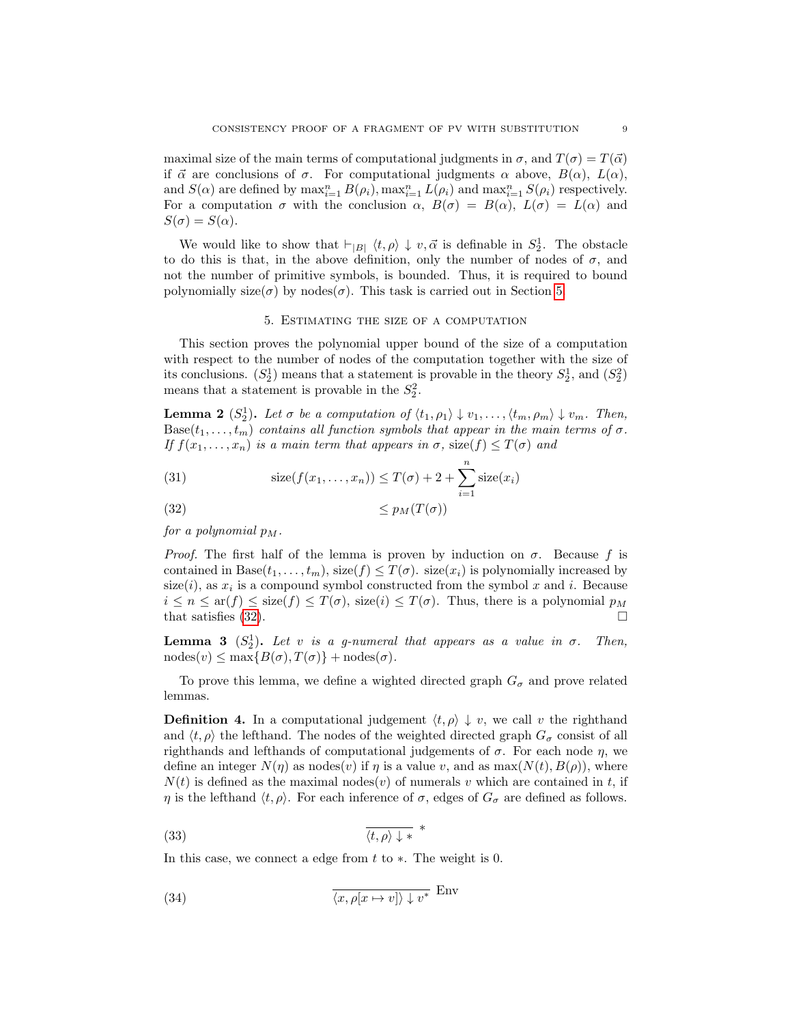maximal size of the main terms of computational judgments in  $\sigma$ , and  $T(\sigma) = T(\vec{\alpha})$ if  $\vec{\alpha}$  are conclusions of  $\sigma$ . For computational judgments  $\alpha$  above,  $B(\alpha)$ ,  $L(\alpha)$ , and  $S(\alpha)$  are defined by  $\max_{i=1}^n B(\rho_i)$ ,  $\max_{i=1}^n L(\rho_i)$  and  $\max_{i=1}^n S(\rho_i)$  respectively. For a computation  $\sigma$  with the conclusion  $\alpha$ ,  $B(\sigma) = B(\alpha)$ ,  $L(\sigma) = L(\alpha)$  and  $S(\sigma) = S(\alpha)$ .

We would like to show that  $\vdash_{|B|} \langle t, \rho \rangle \downarrow v, \vec{\alpha}$  is definable in  $S_2^1$ . The obstacle to do this is that, in the above definition, only the number of nodes of  $\sigma$ , and not the number of primitive symbols, is bounded. Thus, it is required to bound polynomially size( $\sigma$ ) by nodes( $\sigma$ ). This task is carried out in Section [5.](#page-8-0)

# 5. Estimating the size of a computation

<span id="page-8-0"></span>This section proves the polynomial upper bound of the size of a computation with respect to the number of nodes of the computation together with the size of its conclusions.  $(S_2^1)$  means that a statement is provable in the theory  $S_2^1$ , and  $(S_2^2)$ means that a statement is provable in the  $S_2^2$ .

<span id="page-8-3"></span>**Lemma 2**  $(S_2^1)$ . Let  $\sigma$  be a computation of  $\langle t_1, \rho_1 \rangle \downarrow v_1, \ldots, \langle t_m, \rho_m \rangle \downarrow v_m$ . Then,  $Base(t_1, \ldots, t_m)$  contains all function symbols that appear in the main terms of  $\sigma$ . If  $f(x_1, \ldots, x_n)$  is a main term that appears in  $\sigma$ , size(f)  $\leq T(\sigma)$  and

(31) 
$$
\operatorname{size}(f(x_1,\ldots,x_n)) \leq T(\sigma) + 2 + \sum_{i=1}^n \operatorname{size}(x_i)
$$

<span id="page-8-1"></span>≤ pM(T(σ))(32)

for a polynomial  $p_M$ .

*Proof.* The first half of the lemma is proven by induction on  $\sigma$ . Because f is contained in Base $(t_1, \ldots, t_m)$ , size $(f) \leq T(\sigma)$ . size $(x_i)$  is polynomially increased by size(*i*), as  $x_i$  is a compound symbol constructed from the symbol x and *i*. Because  $i \leq n \leq \text{ar}(f) \leq \text{size}(f) \leq T(\sigma)$ , size(i)  $\leq T(\sigma)$ . Thus, there is a polynomial  $p_M$ that satisfies [\(32\)](#page-8-1).  $\Box$ 

<span id="page-8-2"></span>**Lemma 3**  $(S_2^1)$ . Let v is a g-numeral that appears as a value in  $\sigma$ . Then,  $\operatorname{nodes}(v) \le \max\{B(\sigma), T(\sigma)\} + \operatorname{nodes}(\sigma).$ 

To prove this lemma, we define a wighted directed graph  $G_{\sigma}$  and prove related lemmas.

**Definition 4.** In a computational judgement  $\langle t, \rho \rangle \downarrow v$ , we call v the righthand and  $\langle t, \rho \rangle$  the lefthand. The nodes of the weighted directed graph  $G_{\sigma}$  consist of all righthands and lefthands of computational judgements of  $\sigma$ . For each node  $\eta$ , we define an integer  $N(\eta)$  as nodes(v) if  $\eta$  is a value v, and as  $\max(N(t), B(\rho))$ , where  $N(t)$  is defined as the maximal nodes(v) of numerals v which are contained in t, if  $\eta$  is the lefthand  $\langle t, \rho \rangle$ . For each inference of  $\sigma$ , edges of  $G_{\sigma}$  are defined as follows.

$$
\frac{\langle 33 \rangle}{\langle t, \rho \rangle + *} *
$$

In this case, we connect a edge from  $t$  to  $\ast$ . The weight is 0.

(34) 
$$
\overline{\langle x, \rho[x \mapsto v] \rangle \downarrow v^*} \quad \text{Env}
$$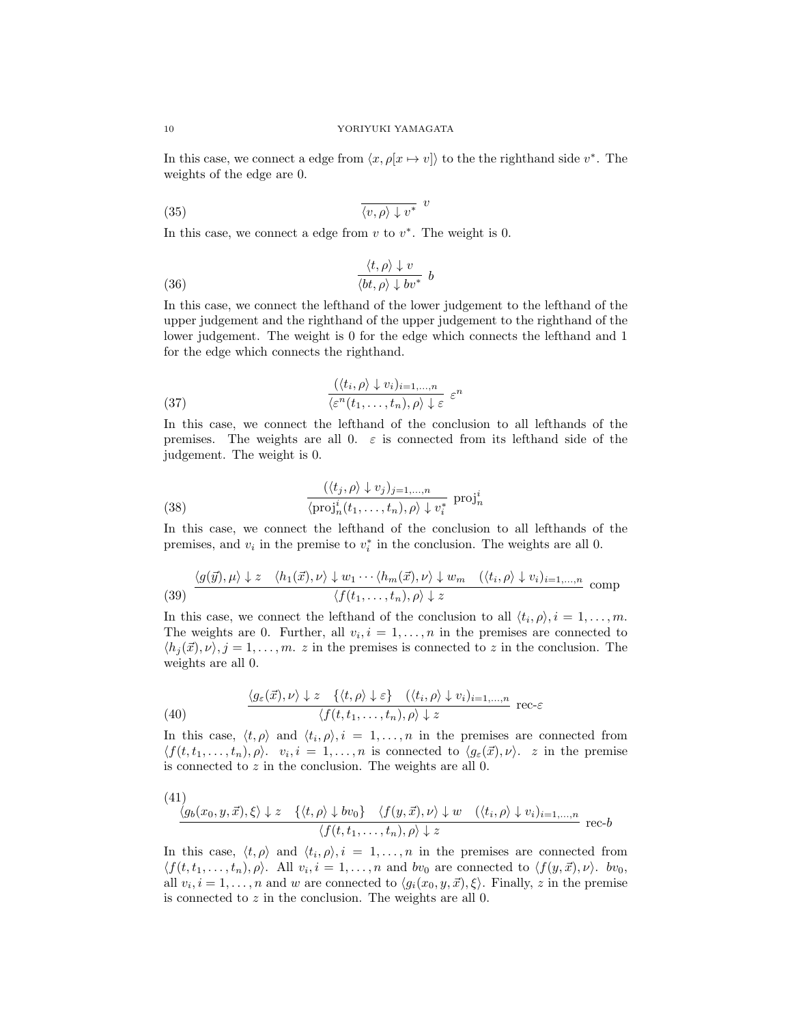In this case, we connect a edge from  $\langle x, \rho | x \mapsto v \rangle$  to the the righthand side  $v^*$ . The weights of the edge are 0.

$$
\frac{\langle v, \rho \rangle \downarrow v^*}{\langle v, \rho \rangle \downarrow v^*} v
$$

In this case, we connect a edge from  $v$  to  $v^*$ . The weight is 0.

(36) 
$$
\frac{\langle t, \rho \rangle \downarrow v}{\langle bt, \rho \rangle \downarrow bv^*} b
$$

In this case, we connect the lefthand of the lower judgement to the lefthand of the upper judgement and the righthand of the upper judgement to the righthand of the lower judgement. The weight is 0 for the edge which connects the lefthand and 1 for the edge which connects the righthand.

(37) 
$$
\frac{(\langle t_i, \rho \rangle \downarrow v_i)_{i=1,...,n}}{\langle \varepsilon^n(t_1,...,t_n), \rho \rangle \downarrow \varepsilon} \varepsilon^n
$$

In this case, we connect the lefthand of the conclusion to all lefthands of the premises. The weights are all 0.  $\varepsilon$  is connected from its lefthand side of the judgement. The weight is 0.

(38) 
$$
\frac{(\langle t_j, \rho \rangle \downarrow v_j)_{j=1,...,n}}{\langle \text{proj}_n^i(t_1,...,t_n), \rho \rangle \downarrow v_i^*} \text{proj}_n^i
$$

In this case, we connect the lefthand of the conclusion to all lefthands of the premises, and  $v_i$  in the premise to  $v_i^*$  in the conclusion. The weights are all 0.

(39) 
$$
\frac{\langle g(\vec{y}), \mu \rangle \downarrow z \quad \langle h_1(\vec{x}), \nu \rangle \downarrow w_1 \cdots \langle h_m(\vec{x}), \nu \rangle \downarrow w_m \quad (\langle t_i, \rho \rangle \downarrow v_i)_{i=1,\dots,n}}{\langle f(t_1,\dots,t_n), \rho \rangle \downarrow z} \text{ comp}
$$

In this case, we connect the lefthand of the conclusion to all  $\langle t_i, \rho \rangle, i = 1, \ldots, m$ . The weights are 0. Further, all  $v_i, i = 1, \ldots, n$  in the premises are connected to  $\langle h_i(\vec{x}), v \rangle$ ,  $j = 1, \ldots, m$ . z in the premises is connected to z in the conclusion. The weights are all 0.

(40) 
$$
\frac{\langle g_{\varepsilon}(\vec{x}), \nu \rangle \downarrow z \quad \{ \langle t, \rho \rangle \downarrow \varepsilon \} \quad (\langle t_i, \rho \rangle \downarrow v_i)_{i=1,\dots,n}}{\langle f(t, t_1, \dots, t_n), \rho \rangle \downarrow z} \ \text{rec-}\varepsilon
$$

In this case,  $\langle t, \rho \rangle$  and  $\langle t_i, \rho \rangle$ ,  $i = 1, \ldots, n$  in the premises are connected from  $\langle f(t, t_1, \ldots, t_n), \rho \rangle$ .  $v_i, i = 1, \ldots, n$  is connected to  $\langle g_{\varepsilon}(\vec{x}), \nu \rangle$ . z in the premise is connected to z in the conclusion. The weights are all 0.

(41)  
\n
$$
\frac{\langle g_b(x_0, y, \vec{x}), \xi \rangle \downarrow z \quad \{ \langle t, \rho \rangle \downarrow bv_0 \} \quad \langle f(y, \vec{x}), \nu \rangle \downarrow w \quad (\langle t_i, \rho \rangle \downarrow v_i)_{i=1,...,n}}{\langle f(t, t_1, ..., t_n), \rho \rangle \downarrow z}
$$
rec-b

In this case,  $\langle t, \rho \rangle$  and  $\langle t_i, \rho \rangle$ ,  $i = 1, \ldots, n$  in the premises are connected from  $\langle f(t, t_1, \ldots, t_n), \rho \rangle$ . All  $v_i, i = 1, \ldots, n$  and  $bv_0$  are connected to  $\langle f(y, \vec{x}), \nu \rangle$ .  $bv_0$ , all  $v_i, i = 1, \ldots, n$  and w are connected to  $\langle g_i(x_0, y, \vec{x}), \xi \rangle$ . Finally, z in the premise is connected to z in the conclusion. The weights are all 0.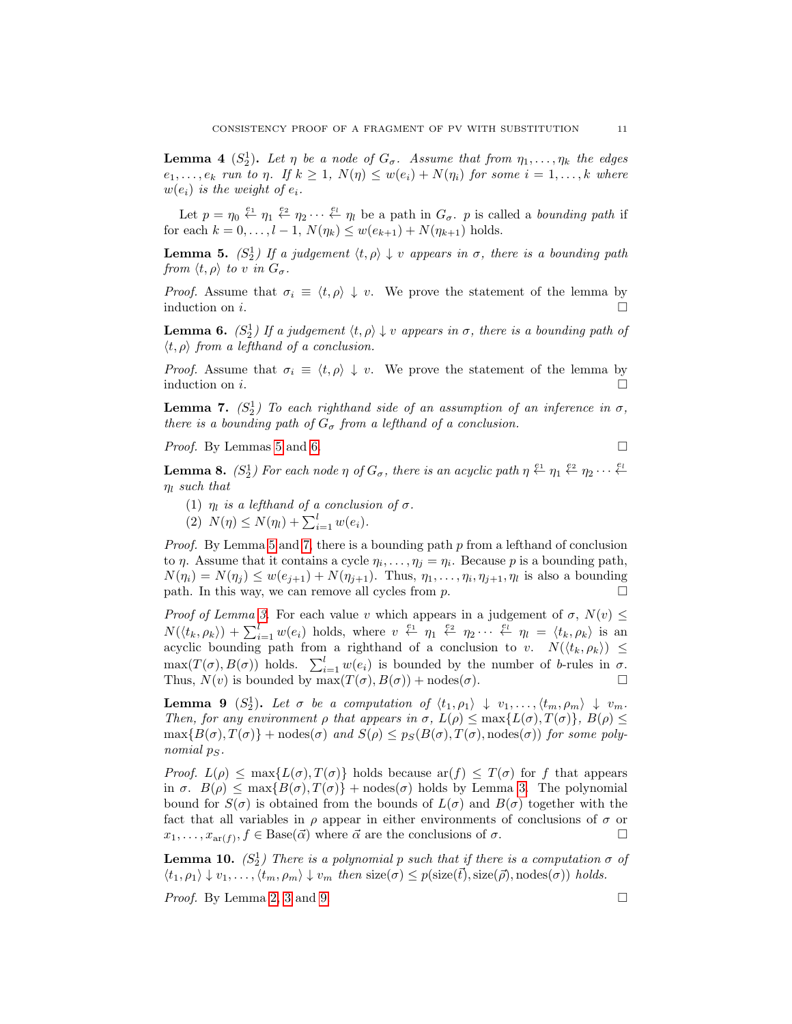**Lemma 4**  $(S_2^1)$ . Let  $\eta$  be a node of  $G_{\sigma}$ . Assume that from  $\eta_1, \ldots, \eta_k$  the edges  $e_1, \ldots, e_k$  run to  $\eta$ . If  $k \geq 1$ ,  $N(\eta) \leq w(e_i) + N(\eta_i)$  for some  $i = 1, \ldots, k$  where  $w(e_i)$  is the weight of  $e_i$ .

Let  $p = \eta_0 \stackrel{e_1}{\leftarrow} \eta_1 \stackrel{e_2}{\leftarrow} \eta_2 \cdots \stackrel{e_l}{\leftarrow} \eta_l$  be a path in  $G_{\sigma}$ . p is called a *bounding path* if for each  $k = 0, ..., l - 1, N(\eta_k) \leq w(e_{k+1}) + N(\eta_{k+1})$  holds.

<span id="page-10-0"></span>**Lemma 5.**  $(S_2^1)$  If a judgement  $\langle t, \rho \rangle \downarrow v$  appears in  $\sigma$ , there is a bounding path from  $\langle t, \rho \rangle$  to v in  $G_{\sigma}$ .

*Proof.* Assume that  $\sigma_i \equiv \langle t, \rho \rangle \downarrow v$ . We prove the statement of the lemma by induction on i.

<span id="page-10-1"></span>**Lemma 6.**  $(S_2^1)$  If a judgement  $\langle t, \rho \rangle \downarrow v$  appears in  $\sigma$ , there is a bounding path of  $\langle t, \rho \rangle$  from a lefthand of a conclusion.

*Proof.* Assume that  $\sigma_i \equiv \langle t, \rho \rangle \downarrow v$ . We prove the statement of the lemma by induction on i.

<span id="page-10-2"></span>**Lemma 7.**  $(S_2^1)$  To each righthand side of an assumption of an inference in  $\sigma$ , there is a bounding path of  $G_{\sigma}$  from a lefthand of a conclusion.

*Proof.* By Lemmas [5](#page-10-0) and [6.](#page-10-1)

**Lemma 8.**  $(S_2^1)$  For each node  $\eta$  of  $G_{\sigma}$ , there is an acyclic path  $\eta \overset{e_1}{\leftarrow} \eta_1 \overset{e_2}{\leftarrow} \eta_2 \cdots \overset{e_l}{\leftarrow}$  $\eta_l$  such that

- (1)  $\eta_l$  is a lefthand of a conclusion of  $\sigma$ .
- (2)  $N(\eta) \le N(\eta_l) + \sum_{i=1}^{l} w(e_i)$ .

*Proof.* By Lemma [5](#page-10-0) and [7,](#page-10-2) there is a bounding path  $p$  from a lefthand of conclusion to  $\eta$ . Assume that it contains a cycle  $\eta_i, \ldots, \eta_j = \eta_i$ . Because p is a bounding path,  $N(\eta_i) = N(\eta_j) \leq w(e_{j+1}) + N(\eta_{j+1})$ . Thus,  $\eta_1, \ldots, \eta_i, \eta_{j+1}, \eta_l$  is also a bounding path. In this way, we can remove all cycles from p.

*Proof of Lemma [3.](#page-8-2)* For each value v which appears in a judgement of  $\sigma$ ,  $N(v) \leq$  $N(\langle t_k, \rho_k \rangle) + \sum_{i=1}^l w(e_i)$  holds, where  $v \stackrel{e_1}{\leftarrow} \eta_1 \stackrel{e_2}{\leftarrow} \eta_2 \cdots \stackrel{e_l}{\leftarrow} \eta_l = \langle t_k, \rho_k \rangle$  is an acyclic bounding path from a righthand of a conclusion to v.  $N(\langle t_k, \rho_k \rangle) \leq$  $\max(T(\sigma), B(\sigma))$  holds.  $\sum_{i=1}^{l} w(e_i)$  is bounded by the number of b-rules in  $\sigma$ . Thus,  $N(v)$  is bounded by  $\max(T(\sigma), B(\sigma)) + \text{nodes}(\sigma)$ .

<span id="page-10-3"></span>**Lemma 9**  $(S_2^1)$ . Let  $\sigma$  be a computation of  $\langle t_1, \rho_1 \rangle \downarrow v_1, \ldots, \langle t_m, \rho_m \rangle \downarrow v_m$ . Then, for any environment  $\rho$  that appears in  $\sigma$ ,  $L(\rho) \leq \max\{L(\sigma), T(\sigma)\}, B(\rho) \leq$  $\max\{B(\sigma),T(\sigma)\}\$  + nodes $(\sigma)$  and  $S(\rho)\leq p_S(B(\sigma),T(\sigma))$ , nodes $(\sigma)$ ) for some polynomial  $p<sub>S</sub>$ .

*Proof.*  $L(\rho) \le \max\{L(\sigma), T(\sigma)\}\$  holds because  $\text{ar}(f) \le T(\sigma)$  for f that appears in  $\sigma$ .  $B(\rho) \leq \max\{B(\sigma), T(\sigma)\}\$  + nodes $(\sigma)$  holds by Lemma [3.](#page-8-2) The polynomial bound for  $S(\sigma)$  is obtained from the bounds of  $L(\sigma)$  and  $B(\sigma)$  together with the fact that all variables in  $\rho$  appear in either environments of conclusions of  $\sigma$  or  $x_1, \ldots, x_{\text{ar}(f)}, f \in \text{Base}(\vec{\alpha})$  where  $\vec{\alpha}$  are the conclusions of  $\sigma$ .

<span id="page-10-4"></span>**Lemma 10.**  $(S_2^1)$  There is a polynomial p such that if there is a computation  $\sigma$  of  $\langle t_1, \rho_1 \rangle \downarrow v_1, \ldots, \langle t_m, \rho_m \rangle \downarrow v_m$  then size( $\sigma$ )  $\leq p(\text{size}(\vec{t}), \text{size}(\vec{\rho}), \text{nodes}(\sigma))$  holds.

*Proof.* By Lemma [2,](#page-8-3) [3](#page-8-2) and [9.](#page-10-3)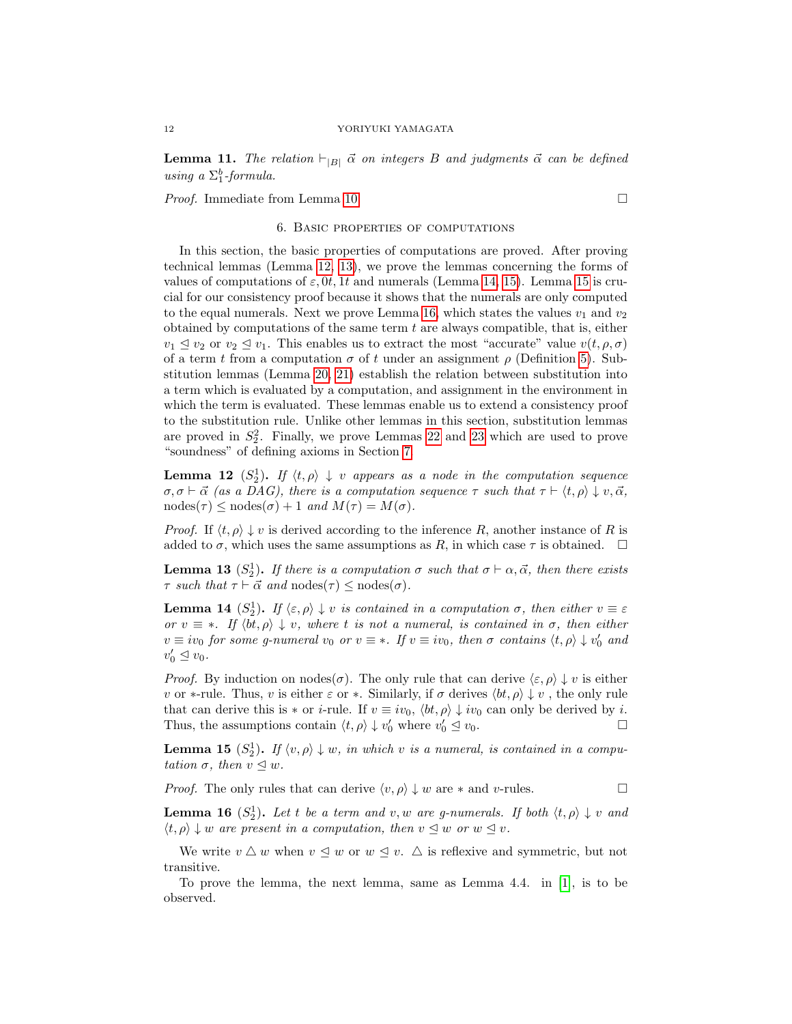**Lemma 11.** The relation  $\vdash_{|B|} \vec{\alpha}$  on integers B and judgments  $\vec{\alpha}$  can be defined using a  $\Sigma_1^b$ -formula.

<span id="page-11-0"></span>*Proof.* Immediate from Lemma [10.](#page-10-4)  $\Box$ 

## 6. Basic properties of computations

In this section, the basic properties of computations are proved. After proving technical lemmas (Lemma [12,](#page-11-1) [13\)](#page-11-2), we prove the lemmas concerning the forms of values of computations of  $\varepsilon$ , 0t, 1t and numerals (Lemma [14,](#page-11-3) [15\)](#page-11-4). Lemma [15](#page-11-4) is crucial for our consistency proof because it shows that the numerals are only computed to the equal numerals. Next we prove Lemma [16,](#page-11-5) which states the values  $v_1$  and  $v_2$ obtained by computations of the same term  $t$  are always compatible, that is, either  $v_1 \leq v_2$  or  $v_2 \leq v_1$ . This enables us to extract the most "accurate" value  $v(t, \rho, \sigma)$ of a term t from a computation  $\sigma$  of t under an assignment  $\rho$  (Definition [5\)](#page-13-0). Substitution lemmas (Lemma [20,](#page-14-0) [21\)](#page-16-0) establish the relation between substitution into a term which is evaluated by a computation, and assignment in the environment in which the term is evaluated. These lemmas enable us to extend a consistency proof to the substitution rule. Unlike other lemmas in this section, substitution lemmas are proved in  $S_2^2$ . Finally, we prove Lemmas [22](#page-18-0) and [23](#page-19-0) which are used to prove "soundness" of defining axioms in Section [7.](#page-21-0)

<span id="page-11-1"></span>**Lemma 12**  $(S_2^1)$ . If  $\langle t, \rho \rangle \downarrow v$  appears as a node in the computation sequence  $\sigma, \sigma \vdash \vec{\alpha}$  (as a DAG), there is a computation sequence  $\tau$  such that  $\tau \vdash \langle t, \rho \rangle \downarrow v, \vec{\alpha},$  $\text{nodes}(\tau) \leq \text{nodes}(\sigma) + 1$  and  $M(\tau) = M(\sigma)$ .

*Proof.* If  $\langle t, \rho \rangle \downarrow v$  is derived according to the inference R, another instance of R is added to  $\sigma$ , which uses the same assumptions as R, in which case  $\tau$  is obtained.  $\Box$ 

<span id="page-11-2"></span>**Lemma 13**  $(S_2^1)$ . If there is a computation  $\sigma$  such that  $\sigma \vdash \alpha, \vec{\alpha}$ , then there exists  $\tau$  such that  $\tau \vdash \vec{\alpha}$  and  $\text{nodes}(\tau) \leq \text{nodes}(\sigma)$ .

<span id="page-11-3"></span>**Lemma 14**  $(S_2^1)$ . If  $\langle \varepsilon, \rho \rangle \downarrow v$  is contained in a computation  $\sigma$ , then either  $v \equiv \varepsilon$ or  $v \equiv *$ . If  $\langle bt, \rho \rangle \downarrow v$ , where t is not a numeral, is contained in  $\sigma$ , then either  $v \equiv iv_0$  for some g-numeral  $v_0$  or  $v \equiv *$ . If  $v \equiv iv_0$ , then  $\sigma$  contains  $\langle t, \rho \rangle \downarrow v'_0$  and  $v'_0 \trianglelefteq v_0$ .

*Proof.* By induction on nodes( $\sigma$ ). The only rule that can derive  $\langle \varepsilon, \rho \rangle \downarrow v$  is either v or ∗-rule. Thus, v is either  $\varepsilon$  or  $*$ . Similarly, if  $\sigma$  derives  $\langle bt, \rho \rangle \downarrow v$ , the only rule that can derive this is  $*$  or *i*-rule. If  $v \equiv iv_0$ ,  $\langle bt, \rho \rangle \downarrow iv_0$  can only be derived by *i*. Thus, the assumptions contain  $\langle t, \rho \rangle \downarrow v'_0$  where  $v'_0 \leq v_0$ .

<span id="page-11-4"></span>**Lemma 15**  $(S_2^1)$ . If  $\langle v, \rho \rangle \downarrow w$ , in which v is a numeral, is contained in a computation  $\sigma$ , then  $v \leq w$ .

*Proof.* The only rules that can derive  $\langle v, \rho \rangle \downarrow w$  are  $*$  and v-rules.

<span id="page-11-5"></span>**Lemma 16**  $(S_2^1)$ . Let t be a term and v, w are g-numerals. If both  $\langle t, \rho \rangle \downarrow v$  and  $\langle t, \rho \rangle \downarrow w$  are present in a computation, then  $v \leq w$  or  $w \leq v$ .

We write  $v \Delta w$  when  $v \Delta w$  or  $w \Delta v$ .  $\Delta$  is reflexive and symmetric, but not transitive.

To prove the lemma, the next lemma, same as Lemma 4.4. in [\[1\]](#page-27-6), is to be observed.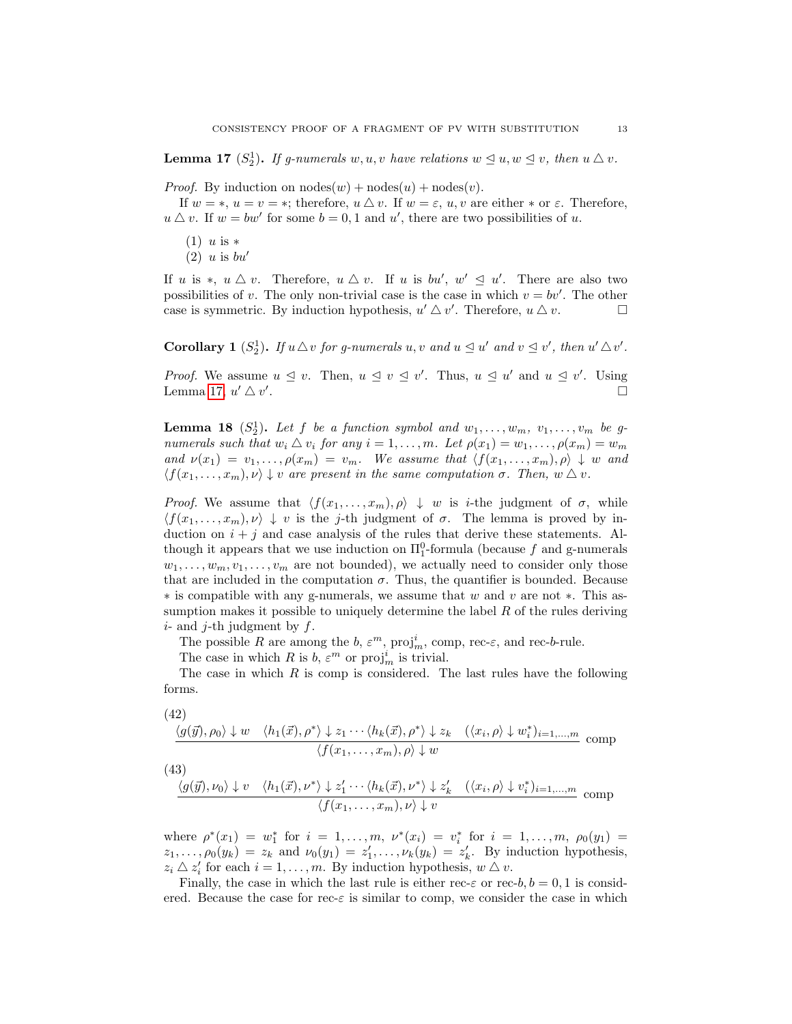<span id="page-12-0"></span>**Lemma 17**  $(S_2^1)$ . If g-numerals  $w, u, v$  have relations  $w \leq u, w \leq v$ , then  $u \Delta v$ .

*Proof.* By induction on  $\text{nodes}(w) + \text{nodes}(u) + \text{nodes}(v)$ .

If  $w = *, u = v = *,$  therefore,  $u \triangle v$ . If  $w = \varepsilon, u, v$  are either  $*$  or  $\varepsilon$ . Therefore,  $u \triangle v$ . If  $w = bw'$  for some  $b = 0, 1$  and  $u'$ , there are two possibilities of u.

- $(1)$  u is  $*$
- $(2)$  u is bu'

If u is  $*, u \triangle v$ . Therefore,  $u \triangle v$ . If u is  $bu', w' \triangle v'$ . There are also two possibilities of v. The only non-trivial case is the case in which  $v = bv'$ . The other case is symmetric. By induction hypothesis,  $u' \triangle v'$ . Therefore,  $u \triangle v$ .

**Corollary 1**  $(S_2^1)$ . If  $u \triangle v$  for g-numerals u, v and  $u \triangle u'$  and  $v \triangle v'$ , then  $u' \triangle v'$ .

*Proof.* We assume  $u \leq v$ . Then,  $u \leq v \leq v'$ . Thus,  $u \leq u'$  and  $u \leq v'$ . Using Lemma [17,](#page-12-0)  $u' \bigtriangleup v'$ .

<span id="page-12-1"></span>**Lemma 18**  $(S_2^1)$ . Let f be a function symbol and  $w_1, \ldots, w_m$ ,  $v_1, \ldots, v_m$  be gnumerals such that  $w_i \triangle v_i$  for any  $i = 1, \ldots, m$ . Let  $\rho(x_1) = w_1, \ldots, \rho(x_m) = w_m$ and  $\nu(x_1) = v_1, \ldots, \rho(x_m) = v_m$ . We assume that  $\langle f(x_1, \ldots, x_m), \rho \rangle \downarrow w$  and  $\langle f(x_1, \ldots, x_m), \nu \rangle \downarrow v$  are present in the same computation  $\sigma$ . Then,  $w \Delta v$ .

*Proof.* We assume that  $\langle f(x_1, \ldots, x_m), \rho \rangle \downarrow w$  is *i*-the judgment of  $\sigma$ , while  $\langle f(x_1, \ldots, x_m), \nu \rangle \downarrow v$  is the j-th judgment of  $\sigma$ . The lemma is proved by induction on  $i + j$  and case analysis of the rules that derive these statements. Although it appears that we use induction on  $\Pi_1^0$ -formula (because f and g-numerals  $w_1, \ldots, w_m, v_1, \ldots, v_m$  are not bounded), we actually need to consider only those that are included in the computation  $\sigma$ . Thus, the quantifier is bounded. Because ∗ is compatible with any g-numerals, we assume that w and v are not ∗. This assumption makes it possible to uniquely determine the label  $R$  of the rules deriving  $i$ - and j-th judgment by f.

The possible R are among the  $b, \varepsilon^m$ , proj<sup>i</sup><sub>m</sub>, comp, rec- $\varepsilon$ , and rec-b-rule.

The case in which R is  $b, \varepsilon^m$  or  $\text{proj}_m^i$  is trivial.

The case in which  $R$  is comp is considered. The last rules have the following forms.

(42)  
\n
$$
\frac{\langle g(\vec{y}), \rho_0 \rangle \downarrow w \quad \langle h_1(\vec{x}), \rho^* \rangle \downarrow z_1 \cdots \langle h_k(\vec{x}), \rho^* \rangle \downarrow z_k \quad (\langle x_i, \rho \rangle \downarrow w_i^*)_{i=1,\dots,m}}{\langle f(x_1,\dots,x_m), \rho \rangle \downarrow w}
$$
comp  
\n(43)  
\n
$$
\frac{\langle g(\vec{y}), \nu_0 \rangle \downarrow v \quad \langle h_1(\vec{x}), \nu^* \rangle \downarrow z_1' \cdots \langle h_k(\vec{x}), \nu^* \rangle \downarrow z_k' \quad (\langle x_i, \rho \rangle \downarrow v_i^*)_{i=1,\dots,m}}{\langle f(x_1,\dots,x_m), \nu \rangle \downarrow v}
$$
comp

where  $\rho^*(x_1) = w_1^*$  for  $i = 1, ..., m$ ,  $\nu^*(x_i) = v_i^*$  for  $i = 1, ..., m$ ,  $\rho_0(y_1) =$  $z_1, \ldots, \rho_0(y_k) = z_k$  and  $\nu_0(y_1) = z'_1, \ldots, \nu_k(y_k) = z'_k$ . By induction hypothesis,  $z_i \triangle z'_i$  for each  $i = 1, ..., m$ . By induction hypothesis,  $w \triangle v$ .

Finally, the case in which the last rule is either rec- $\varepsilon$  or rec- $b, b = 0, 1$  is considered. Because the case for rec- $\varepsilon$  is similar to comp, we consider the case in which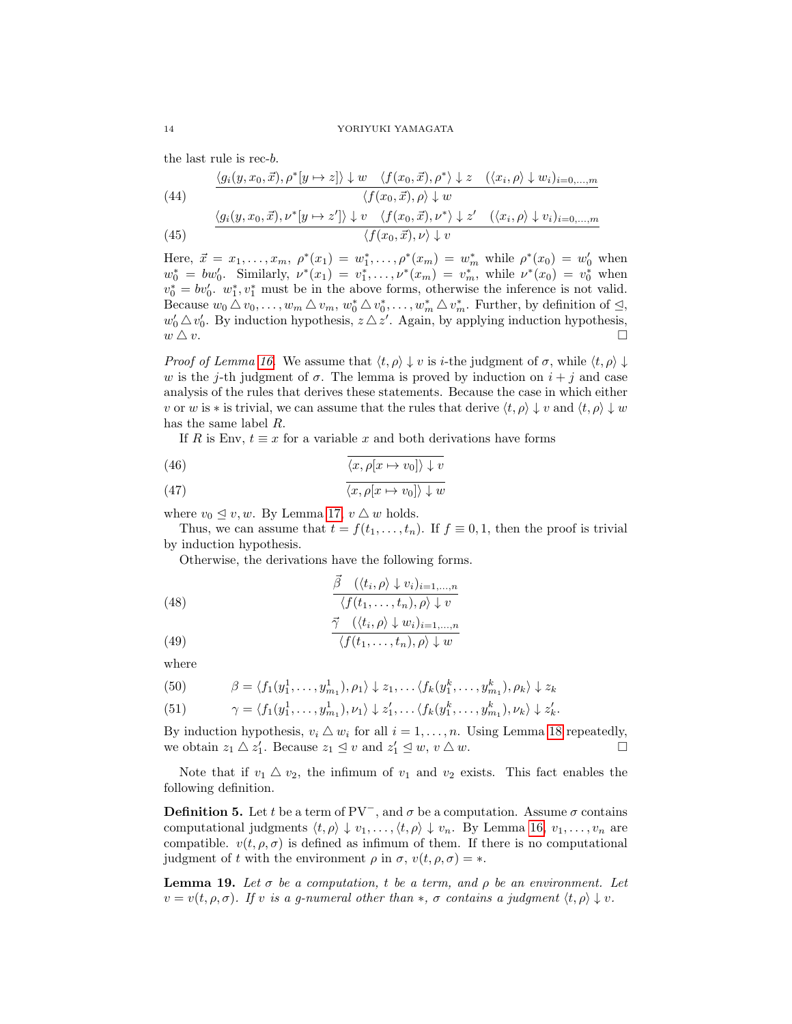the last rule is rec-b.

(44)  
\n
$$
\frac{\langle g_i(y, x_0, \vec{x}), \rho^* [y \mapsto z] \rangle \downarrow w \quad \langle f(x_0, \vec{x}), \rho^* \rangle \downarrow z \quad (\langle x_i, \rho \rangle \downarrow w_i)_{i=0,...,m}}{\langle f(x_0, \vec{x}), \rho \rangle \downarrow w}
$$
\n
$$
\langle g_i(y, x_0, \vec{x}), \nu^* [y \mapsto z'] \rangle \downarrow v \quad \langle f(x_0, \vec{x}), \nu^* \rangle \downarrow z' \quad (\langle x_i, \rho \rangle \downarrow v_i)_{i=0,...,m}
$$

(45) hf(x0, ~x), νi ↓ v

Here,  $\vec{x} = x_1, \ldots, x_m$ ,  $\rho^*(x_1) = w_1^*, \ldots, \rho^*(x_m) = w_m^*$  while  $\rho^*(x_0) = w_0^*$  when  $w_0^* = bw_0'$ . Similarly,  $\nu^*(x_1) = v_1^*, \ldots, \nu^*(x_m) = v_m^*$ , while  $\nu^*(x_0) = v_0^*$  when  $v_0^* = bv'_0$ .  $w_1^*, v_1^*$  must be in the above forms, otherwise the inference is not valid. Because  $w_0 \Delta v_0, \ldots, w_m \Delta v_m, w_0^* \Delta v_0^*, \ldots, w_m^* \Delta v_m^*.$  Further, by definition of  $\triangleleft$ ,  $w'_0 \triangle v'_0$ . By induction hypothesis,  $z \triangle z'$ . Again, by applying induction hypothesis,  $w \triangle v$ .

*Proof of Lemma [16.](#page-11-5)* We assume that  $\langle t, \rho \rangle \downarrow v$  is *i*-the judgment of  $\sigma$ , while  $\langle t, \rho \rangle \downarrow$ w is the j-th judgment of  $\sigma$ . The lemma is proved by induction on  $i + j$  and case analysis of the rules that derives these statements. Because the case in which either v or w is \* is trivial, we can assume that the rules that derive  $\langle t, \rho \rangle \downarrow v$  and  $\langle t, \rho \rangle \downarrow w$ has the same label R.

If R is Env,  $t \equiv x$  for a variable x and both derivations have forms

(46) 
$$
\overline{\langle x, \rho[x \mapsto v_0] \rangle \downarrow v}
$$

(47) 
$$
\langle x, \rho[x \mapsto v_0] \rangle \downarrow w
$$

where  $v_0 \le v, w$ . By Lemma [17,](#page-12-0)  $v \triangle w$  holds.

Thus, we can assume that  $t = f(t_1, \ldots, t_n)$ . If  $f \equiv 0, 1$ , then the proof is trivial by induction hypothesis.

Otherwise, the derivations have the following forms.

(48) 
$$
\frac{\vec{\beta} \quad (\langle t_i, \rho \rangle \downarrow v_i)_{i=1,...,n}}{\langle f(t_1,...,t_n), \rho \rangle \downarrow v}
$$

(49) 
$$
\frac{\vec{\gamma} \left( \langle t_i, \rho \rangle \downarrow w_i \rangle_{i=1,...,n}}{\langle f(t_1,...,t_n), \rho \rangle \downarrow w}
$$

where

(50) 
$$
\beta = \langle f_1(y_1^1, \ldots, y_{m_1}^1), \rho_1 \rangle \downarrow z_1, \ldots \langle f_k(y_1^k, \ldots, y_{m_1}^k), \rho_k \rangle \downarrow z_k
$$

(51) 
$$
\gamma = \langle f_1(y_1^1, \ldots, y_{m_1}^1), \nu_1 \rangle \downarrow z_1', \ldots \langle f_k(y_1^k, \ldots, y_{m_1}^k), \nu_k \rangle \downarrow z_k'.
$$

By induction hypothesis,  $v_i \Delta w_i$  for all  $i = 1, ..., n$ . Using Lemma [18](#page-12-1) repeatedly, we obtain  $z_1 \triangle z'_1$ . Because  $z_1 \trianglelefteq v$  and  $z'_1 \trianglelefteq w$ ,  $v \triangle w$ .

Note that if  $v_1 \triangle v_2$ , the infimum of  $v_1$  and  $v_2$  exists. This fact enables the following definition.

<span id="page-13-0"></span>**Definition 5.** Let t be a term of PV<sup>-</sup>, and  $\sigma$  be a computation. Assume  $\sigma$  contains computational judgments  $\langle t, \rho \rangle \downarrow v_1, \ldots, \langle t, \rho \rangle \downarrow v_n$ . By Lemma [16,](#page-11-5)  $v_1, \ldots, v_n$  are compatible.  $v(t, \rho, \sigma)$  is defined as infimum of them. If there is no computational judgment of t with the environment  $\rho$  in  $\sigma$ ,  $v(t, \rho, \sigma) = *$ .

<span id="page-13-1"></span>**Lemma 19.** Let  $\sigma$  be a computation, t be a term, and  $\rho$  be an environment. Let  $v = v(t, \rho, \sigma)$ . If v is a g-numeral other than  $*, \sigma$  contains a judgment  $\langle t, \rho \rangle \downarrow v$ .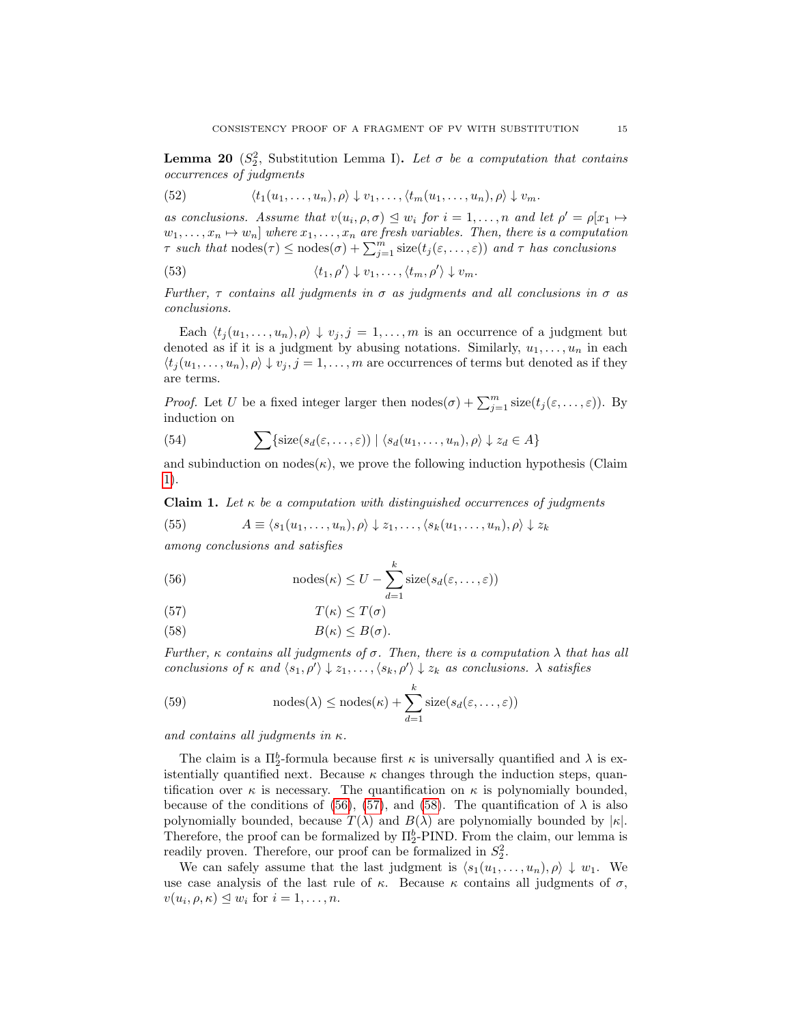<span id="page-14-0"></span>**Lemma 20**  $(S_2^2,$  Substitution Lemma I). Let  $\sigma$  be a computation that contains occurrences of judgments

(52) 
$$
\langle t_1(u_1,\ldots,u_n),\rho\rangle \downarrow v_1,\ldots,\langle t_m(u_1,\ldots,u_n),\rho\rangle \downarrow v_m.
$$

as conclusions. Assume that  $v(u_i, \rho, \sigma) \leq w_i$  for  $i = 1, ..., n$  and let  $\rho' = \rho[x_1 \mapsto$  $w_1, \ldots, x_n \mapsto w_n$ ] where  $x_1, \ldots, x_n$  are fresh variables. Then, there is a computation  $\tau$  such that  $\text{nodes}(\tau) \leq \text{nodes}(\sigma) + \sum_{j=1}^{m} \text{size}(t_j(\varepsilon,\ldots,\varepsilon))$  and  $\tau$  has conclusions

(53) 
$$
\langle t_1, \rho' \rangle \downarrow v_1, \ldots, \langle t_m, \rho' \rangle \downarrow v_m.
$$

Further,  $\tau$  contains all judgments in  $\sigma$  as judgments and all conclusions in  $\sigma$  as conclusions.

Each  $\langle t_j(u_1, \ldots, u_n), \rho \rangle \downarrow v_j, j = 1, \ldots, m$  is an occurrence of a judgment but denoted as if it is a judgment by abusing notations. Similarly,  $u_1, \ldots, u_n$  in each  $\langle t_i(u_1,\ldots,u_n), \rho\rangle \downarrow v_j, j=1,\ldots,m$  are occurrences of terms but denoted as if they are terms.

*Proof.* Let U be a fixed integer larger then  $\text{nodes}(\sigma) + \sum_{j=1}^{m} \text{size}(t_j(\varepsilon,\ldots,\varepsilon))$ . By induction on

(54) 
$$
\sum \{ \text{size}(s_d(\varepsilon, \ldots, \varepsilon)) \mid \langle s_d(u_1, \ldots, u_n), \rho \rangle \downarrow z_d \in A \}
$$

and subinduction on nodes $(\kappa)$ , we prove the following induction hypothesis (Claim [1\)](#page-14-1).

# <span id="page-14-1"></span>Claim 1. Let  $\kappa$  be a computation with distinguished occurrences of judgments

(55) 
$$
A \equiv \langle s_1(u_1,\ldots,u_n),\rho\rangle \downarrow z_1,\ldots,\langle s_k(u_1,\ldots,u_n),\rho\rangle \downarrow z_k
$$

among conclusions and satisfies

<span id="page-14-2"></span>(56) 
$$
\operatorname{nodes}(\kappa) \le U - \sum_{d=1}^k \operatorname{size}(s_d(\varepsilon, \dots, \varepsilon))
$$

<span id="page-14-4"></span><span id="page-14-3"></span>
$$
(57) \t\t T(\kappa) \le T(\sigma)
$$

(58) 
$$
B(\kappa) \leq B(\sigma).
$$

Further, κ contains all judgments of  $\sigma$ . Then, there is a computation  $\lambda$  that has all conclusions of  $\kappa$  and  $\langle s_1, \rho' \rangle \downarrow z_1, \ldots, \langle s_k, \rho' \rangle \downarrow z_k$  as conclusions.  $\lambda$  satisfies

(59) 
$$
\operatorname{nodes}(\lambda) \leq \operatorname{nodes}(\kappa) + \sum_{d=1}^{k} \operatorname{size}(s_d(\varepsilon, \dots, \varepsilon))
$$

and contains all judgments in  $\kappa$ .

The claim is a  $\Pi_2^b$ -formula because first  $\kappa$  is universally quantified and  $\lambda$  is existentially quantified next. Because  $\kappa$  changes through the induction steps, quantification over  $\kappa$  is necessary. The quantification on  $\kappa$  is polynomially bounded, because of the conditions of [\(56\)](#page-14-2), [\(57\)](#page-14-3), and [\(58\)](#page-14-4). The quantification of  $\lambda$  is also polynomially bounded, because  $T(\lambda)$  and  $B(\lambda)$  are polynomially bounded by  $|\kappa|$ . Therefore, the proof can be formalized by  $\Pi_2^b$ -PIND. From the claim, our lemma is readily proven. Therefore, our proof can be formalized in  $S_2^2$ .

We can safely assume that the last judgment is  $\langle s_1(u_1, \ldots, u_n), \rho \rangle \downarrow w_1$ . We use case analysis of the last rule of  $\kappa$ . Because  $\kappa$  contains all judgments of  $\sigma$ ,  $v(u_i, \rho, \kappa) \leq w_i$  for  $i = 1, \ldots, n$ .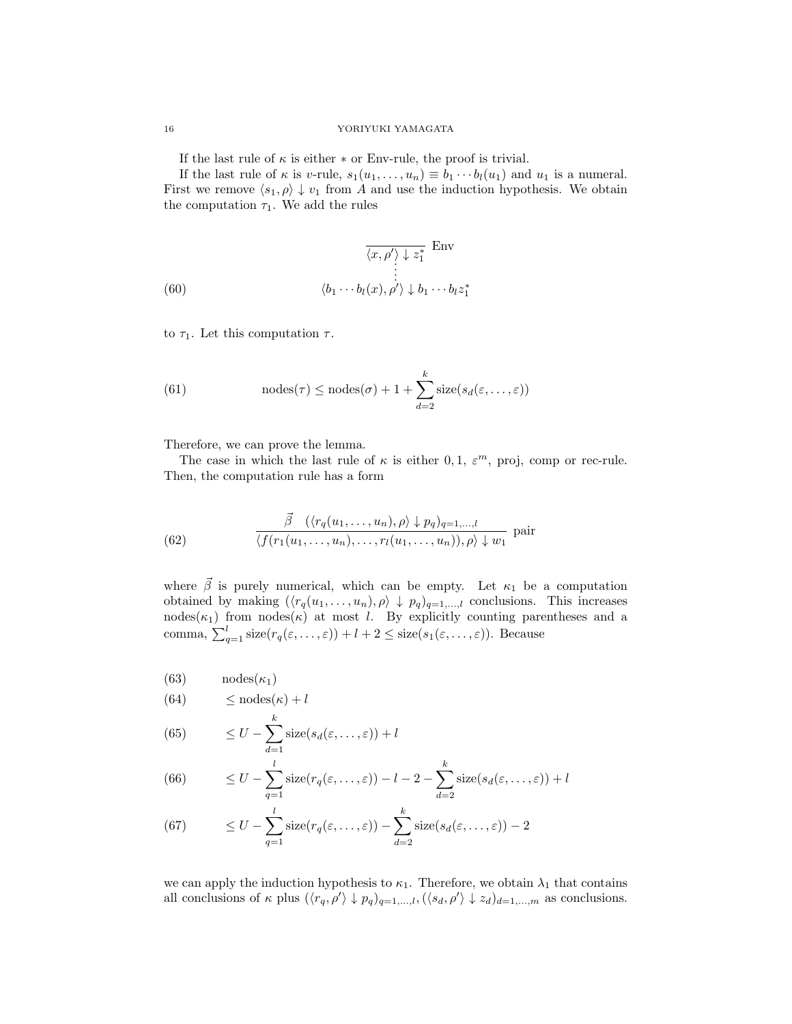If the last rule of  $\kappa$  is either  $*$  or Env-rule, the proof is trivial.

If the last rule of  $\kappa$  is v-rule,  $s_1(u_1, \ldots, u_n) \equiv b_1 \cdots b_l(u_1)$  and  $u_1$  is a numeral. First we remove  $\langle s_1, \rho \rangle \downarrow v_1$  from A and use the induction hypothesis. We obtain the computation  $\tau_1$ . We add the rules

(60) 
$$
\frac{\langle x, \rho' \rangle \downarrow z_1^*}{\langle b_1 \cdots b_l(x), \rho' \rangle \downarrow b_1 \cdots b_l z_1^*}
$$

to  $\tau_1$ . Let this computation  $\tau$ .

(61) 
$$
\operatorname{nodes}(\tau) \leq \operatorname{nodes}(\sigma) + 1 + \sum_{d=2}^{k} \operatorname{size}(s_d(\varepsilon, \dots, \varepsilon))
$$

Therefore, we can prove the lemma.

The case in which the last rule of  $\kappa$  is either 0, 1,  $\varepsilon^{m}$ , proj, comp or rec-rule. Then, the computation rule has a form

(62) 
$$
\frac{\vec{\beta} \left( \langle r_q(u_1,\ldots,u_n),\rho \rangle \downarrow p_q \rangle_{q=1,\ldots,l}}{\langle f(r_1(u_1,\ldots,u_n),\ldots,r_l(u_1,\ldots,u_n)),\rho \rangle \downarrow w_1} \text{ pair}
$$

where  $\vec{\beta}$  is purely numerical, which can be empty. Let  $\kappa_1$  be a computation obtained by making  $(\langle r_q(u_1, \ldots, u_n), \rho \rangle \downarrow p_q)_{q=1,\ldots,l}$  conclusions. This increases  $\text{nodes}(\kappa_1)$  from  $\text{nodes}(\kappa)$  at most l. By explicitly counting parentheses and a comma,  $\sum_{q=1}^{l} \text{size}(r_q(\varepsilon, \ldots, \varepsilon)) + l + 2 \leq \text{size}(s_1(\varepsilon, \ldots, \varepsilon))$ . Because

$$
(63) \qquad \text{nodes}(\kappa_1)
$$

(64) 
$$
\leq \mathrm{nodes}(\kappa) + l
$$

(65) 
$$
\leq U - \sum_{d=1}^{k} \text{size}(s_d(\varepsilon, \dots, \varepsilon)) + l
$$

(66) 
$$
\leq U - \sum_{q=1}^{l} \text{size}(r_q(\varepsilon, \dots, \varepsilon)) - l - 2 - \sum_{d=2}^{k} \text{size}(s_d(\varepsilon, \dots, \varepsilon)) + l
$$

(67) 
$$
\leq U - \sum_{q=1}^{l} \text{size}(r_q(\varepsilon, \dots, \varepsilon)) - \sum_{d=2}^{k} \text{size}(s_d(\varepsilon, \dots, \varepsilon)) - 2
$$

we can apply the induction hypothesis to  $\kappa_1$ . Therefore, we obtain  $\lambda_1$  that contains all conclusions of  $\kappa$  plus  $(\langle r_q, \rho' \rangle \downarrow p_q)_{q=1,\dots,l}, (\langle s_d, \rho' \rangle \downarrow z_d)_{d=1,\dots,m}$  as conclusions.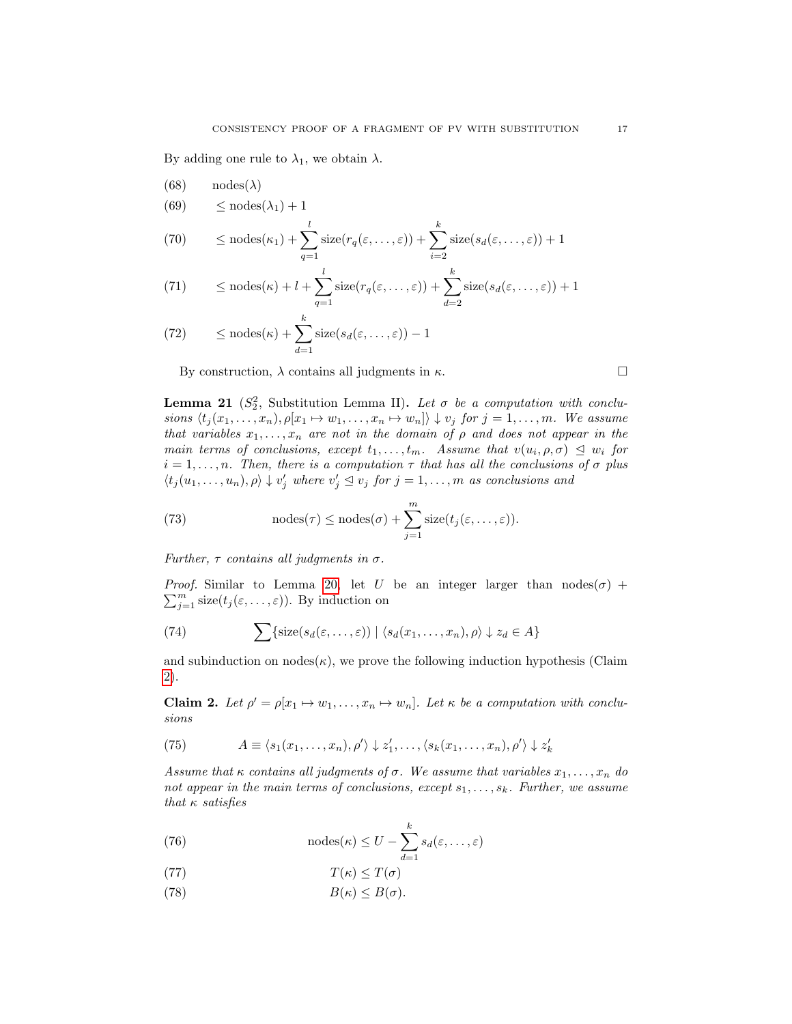By adding one rule to  $\lambda_1$ , we obtain  $\lambda$ .

$$
(68) \qquad \text{nodes}(\lambda)
$$

(69)  $\leq$  nodes $(\lambda_1) + 1$ 

(70) 
$$
\leq \operatorname{nodes}(\kappa_1) + \sum_{q=1}^{l} \operatorname{size}(r_q(\varepsilon, \ldots, \varepsilon)) + \sum_{i=2}^{k} \operatorname{size}(s_d(\varepsilon, \ldots, \varepsilon)) + 1
$$

(71) 
$$
\leq \operatorname{nodes}(\kappa) + l + \sum_{q=1}^{l} \operatorname{size}(r_q(\varepsilon, \ldots, \varepsilon)) + \sum_{d=2}^{k} \operatorname{size}(s_d(\varepsilon, \ldots, \varepsilon)) + 1
$$

(72) 
$$
\leq \operatorname{nodes}(\kappa) + \sum_{d=1}^k \operatorname{size}(s_d(\varepsilon,\ldots,\varepsilon)) - 1
$$

By construction,  $\lambda$  contains all judgments in  $\kappa$ .

<span id="page-16-0"></span>**Lemma 21** ( $S_2^2$ , Substitution Lemma II). Let  $\sigma$  be a computation with conclusions  $\langle t_j(x_1, \ldots, x_n), \rho[x_1 \mapsto w_1, \ldots, x_n \mapsto w_n] \rangle \downarrow v_j$  for  $j = 1, \ldots, m$ . We assume that variables  $x_1, \ldots, x_n$  are not in the domain of  $\rho$  and does not appear in the main terms of conclusions, except  $t_1, \ldots, t_m$ . Assume that  $v(u_i, \rho, \sigma) \leq w_i$  for  $i = 1, \ldots, n$ . Then, there is a computation  $\tau$  that has all the conclusions of  $\sigma$  plus  $\langle t_j(u_1,\ldots,u_n),\rho\rangle \downarrow v'_j$  where  $v'_j \trianglelefteq v_j$  for  $j=1,\ldots,m$  as conclusions and

(73) 
$$
\operatorname{nodes}(\tau) \leq \operatorname{nodes}(\sigma) + \sum_{j=1}^m \operatorname{size}(t_j(\varepsilon,\ldots,\varepsilon)).
$$

Further,  $\tau$  contains all judgments in  $\sigma$ .

*Proof.* Similar to Lemma [20,](#page-14-0) let U be an integer larger than  $\text{nodes}(\sigma)$  +  $\sum_{j=1}^{m} size(t_j(\varepsilon,\ldots,\varepsilon))$ . By induction on

(74) 
$$
\sum \{ \text{size}(s_d(\varepsilon,\ldots,\varepsilon)) \mid \langle s_d(x_1,\ldots,x_n), \rho \rangle \downarrow z_d \in A \}
$$

and subinduction on nodes $(\kappa)$ , we prove the following induction hypothesis (Claim [2\)](#page-16-1).

<span id="page-16-1"></span>**Claim 2.** Let  $\rho' = \rho[x_1 \mapsto w_1, \ldots, x_n \mapsto w_n]$ . Let  $\kappa$  be a computation with conclusions

(75) 
$$
A \equiv \langle s_1(x_1,\ldots,x_n), \rho' \rangle \downarrow z'_1, \ldots, \langle s_k(x_1,\ldots,x_n), \rho' \rangle \downarrow z'_k
$$

Assume that  $\kappa$  contains all judgments of  $\sigma$ . We assume that variables  $x_1, \ldots, x_n$  do not appear in the main terms of conclusions, except  $s_1, \ldots, s_k$ . Further, we assume that  $\kappa$  satisfies

<span id="page-16-2"></span>(76) 
$$
\operatorname{nodes}(\kappa) \le U - \sum_{d=1}^k s_d(\varepsilon, \dots, \varepsilon)
$$

<span id="page-16-3"></span>(77) 
$$
T(\kappa) \leq T(\sigma)
$$

<span id="page-16-4"></span>(78)  $B(\kappa) \leq B(\sigma).$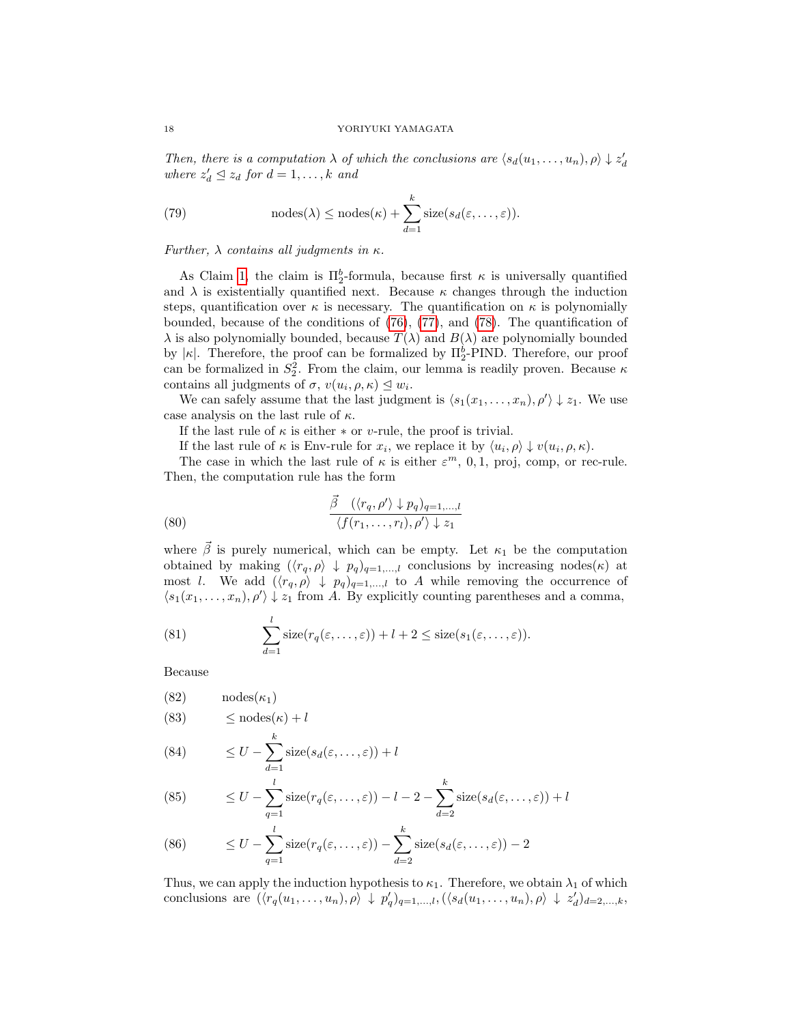Then, there is a computation  $\lambda$  of which the conclusions are  $\langle s_d(u_1, \ldots, u_n), \rho \rangle \downarrow z_d'$ where  $z'_d \leq z_d$  for  $d = 1, ..., k$  and

(79) 
$$
\operatorname{nodes}(\lambda) \leq \operatorname{nodes}(\kappa) + \sum_{d=1}^{k} \operatorname{size}(s_d(\varepsilon, \dots, \varepsilon)).
$$

Further,  $\lambda$  contains all judgments in  $\kappa$ .

As Claim [1,](#page-14-1) the claim is  $\Pi_2^b$ -formula, because first  $\kappa$  is universally quantified and  $\lambda$  is existentially quantified next. Because  $\kappa$  changes through the induction steps, quantification over  $\kappa$  is necessary. The quantification on  $\kappa$  is polynomially bounded, because of the conditions of [\(76\)](#page-16-2), [\(77\)](#page-16-3), and [\(78\)](#page-16-4). The quantification of  $\lambda$  is also polynomially bounded, because  $T(\lambda)$  and  $B(\lambda)$  are polynomially bounded by  $|\kappa|$ . Therefore, the proof can be formalized by  $\Pi_2^b$ -PIND. Therefore, our proof can be formalized in  $S_2^2$ . From the claim, our lemma is readily proven. Because  $\kappa$ contains all judgments of  $\sigma$ ,  $v(u_i, \rho, \kappa) \leq w_i$ .

We can safely assume that the last judgment is  $\langle s_1(x_1, \ldots, x_n), \rho' \rangle \downarrow z_1$ . We use case analysis on the last rule of  $\kappa$ .

If the last rule of  $\kappa$  is either  $*$  or  $v\text{-rule, the proof is trivial.}$ 

If the last rule of  $\kappa$  is Env-rule for  $x_i$ , we replace it by  $\langle u_i, \rho \rangle \downarrow v(u_i, \rho, \kappa)$ .

The case in which the last rule of  $\kappa$  is either  $\varepsilon^m$ , 0,1, proj, comp, or rec-rule. Then, the computation rule has the form

(80) 
$$
\frac{\vec{\beta} \left( \langle r_q, \rho' \rangle \downarrow p_q \right)_{q=1,...,l}}{\langle f(r_1,...,r_l), \rho' \rangle \downarrow z_1}
$$

where  $\vec{\beta}$  is purely numerical, which can be empty. Let  $\kappa_1$  be the computation obtained by making  $(\langle r_q, \rho \rangle \downarrow p_q)_{q=1,\dots,l}$  conclusions by increasing nodes( $\kappa$ ) at most *l*. We add  $(\langle r_q, \rho \rangle \downarrow p_q)_{q=1,\dots,l}$  to *A* while removing the occurrence of  $\langle s_1(x_1,\ldots,x_n), \rho' \rangle \downarrow z_1$  from A. By explicitly counting parentheses and a comma,

(81) 
$$
\sum_{d=1}^{l} \text{size}(r_q(\varepsilon,\ldots,\varepsilon)) + l + 2 \leq \text{size}(s_1(\varepsilon,\ldots,\varepsilon)).
$$

Because

$$
(82) \qquad \qquad \text{nodes}(\kappa_1)
$$

$$
(83) \qquad \leq \operatorname{nodes}(\kappa) + l
$$

(84) 
$$
\leq U - \sum_{d=1}^{k} \text{size}(s_d(\varepsilon, \dots, \varepsilon)) + l
$$

(85) 
$$
\leq U - \sum_{q=1}^{l} \text{size}(r_q(\varepsilon, \dots, \varepsilon)) - l - 2 - \sum_{d=2}^{k} \text{size}(s_d(\varepsilon, \dots, \varepsilon)) + l
$$

(86) 
$$
\leq U - \sum_{q=1}^{l} \text{size}(r_q(\varepsilon, \dots, \varepsilon)) - \sum_{d=2}^{k} \text{size}(s_d(\varepsilon, \dots, \varepsilon)) - 2
$$

Thus, we can apply the induction hypothesis to  $\kappa_1$ . Therefore, we obtain  $\lambda_1$  of which conclusions are  $(\langle r_q(u_1,\ldots,u_n),\rho\rangle \downarrow p'_q)_{q=1,\ldots,l}, (\langle s_d(u_1,\ldots,u_n),\rho\rangle \downarrow z'_d)_{d=2,\ldots,k},$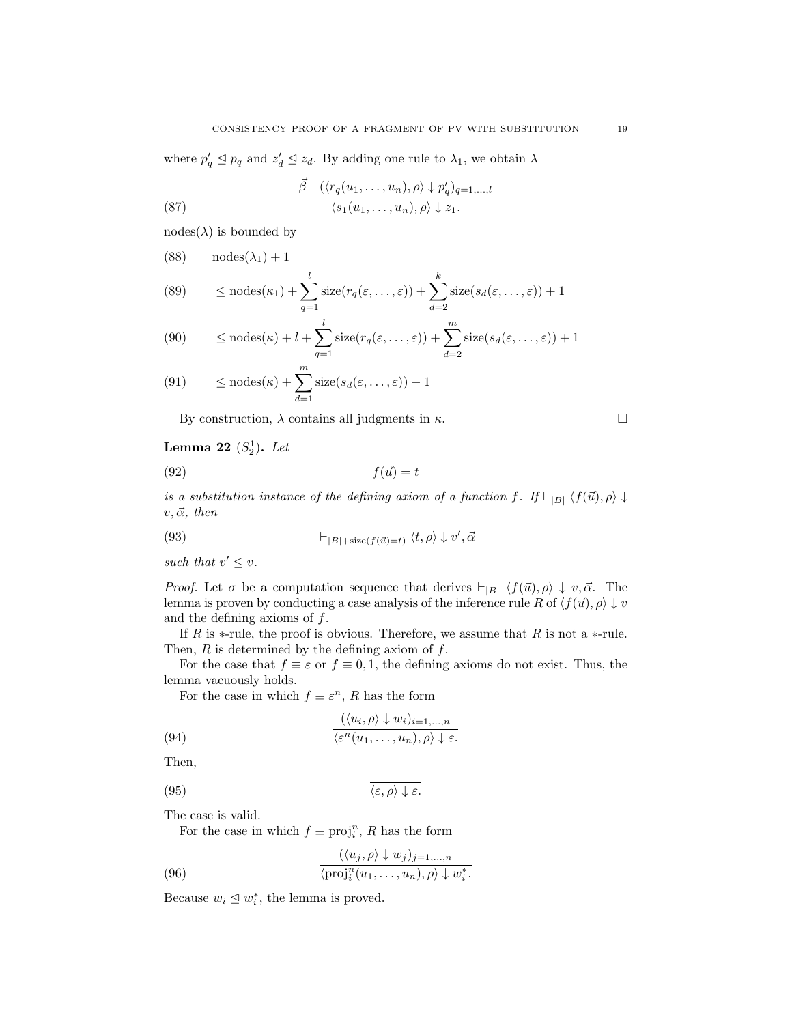where  $p'_q \trianglelefteq p_q$  and  $z'_d \trianglelefteq z_d$ . By adding one rule to  $\lambda_1$ , we obtain  $\lambda$ 

(87) 
$$
\frac{\vec{\beta} \quad (\langle r_q(u_1,\ldots,u_n),\rho\rangle \downarrow p'_q)_{q=1,\ldots,l}}{\langle s_1(u_1,\ldots,u_n),\rho\rangle \downarrow z_1.}
$$

 $\text{nodes}(\lambda)$  is bounded by

$$
(88) \qquad \text{nodes}(\lambda_1) + 1
$$

(89) 
$$
\leq \operatorname{nodes}(\kappa_1) + \sum_{q=1}^{l} \operatorname{size}(r_q(\varepsilon, \dots, \varepsilon)) + \sum_{d=2}^{k} \operatorname{size}(s_d(\varepsilon, \dots, \varepsilon)) + 1
$$

(90) 
$$
\leq \operatorname{nodes}(\kappa) + l + \sum_{q=1}^{l} \operatorname{size}(r_q(\varepsilon, \dots, \varepsilon)) + \sum_{d=2}^{m} \operatorname{size}(s_d(\varepsilon, \dots, \varepsilon)) + 1
$$

(91) 
$$
\leq \operatorname{nodes}(\kappa) + \sum_{d=1}^{m} \operatorname{size}(s_d(\varepsilon, \ldots, \varepsilon)) - 1
$$

By construction,  $\lambda$  contains all judgments in  $\kappa$ .

<span id="page-18-0"></span>Lemma 22  $(S_2^1)$ . Let

$$
(92) \t\t f(\vec{u}) = t
$$

is a substitution instance of the defining axiom of a function f. If  $\vdash_{|B|} \langle f(\vec{u}), \rho \rangle \downarrow$  $v, \vec{\alpha}, \text{ then}$ 

(93) 
$$
\vdash_{|B| + \text{size}(f(\vec{u}) = t)} \langle t, \rho \rangle \downarrow v', \vec{\alpha}
$$

such that  $v' \leq v$ .

*Proof.* Let  $\sigma$  be a computation sequence that derives  $\vdash_{|B|} \langle f(\vec{u}), \rho \rangle \downarrow v, \vec{\alpha}$ . The lemma is proven by conducting a case analysis of the inference rule R of  $\langle f(\vec{u}), \rho \rangle \downarrow v$ and the defining axioms of  $f$ .

If R is  $*$ -rule, the proof is obvious. Therefore, we assume that R is not a  $*$ -rule. Then,  $R$  is determined by the defining axiom of  $f$ .

For the case that  $f \equiv \varepsilon$  or  $f \equiv 0, 1$ , the defining axioms do not exist. Thus, the lemma vacuously holds.

For the case in which  $f \equiv \varepsilon^n$ , R has the form

(94) 
$$
\frac{(\langle u_i, \rho \rangle \downarrow w_i)_{i=1,...,n}}{\langle \varepsilon^n(u_1,...,u_n), \rho \rangle \downarrow \varepsilon}.
$$

Then,

$$
\overline{\langle \varepsilon, \rho \rangle \downarrow \varepsilon}.
$$

The case is valid.

For the case in which  $f \equiv \text{proj}_i^n$ , R has the form

(96) 
$$
\frac{(\langle u_j, \rho \rangle \downarrow w_j)_{j=1,...,n}}{\langle \text{proj}_i^n(u_1, \dots, u_n), \rho \rangle \downarrow w_i^*}.
$$

Because  $w_i \trianglelefteq w_i^*$ , the lemma is proved.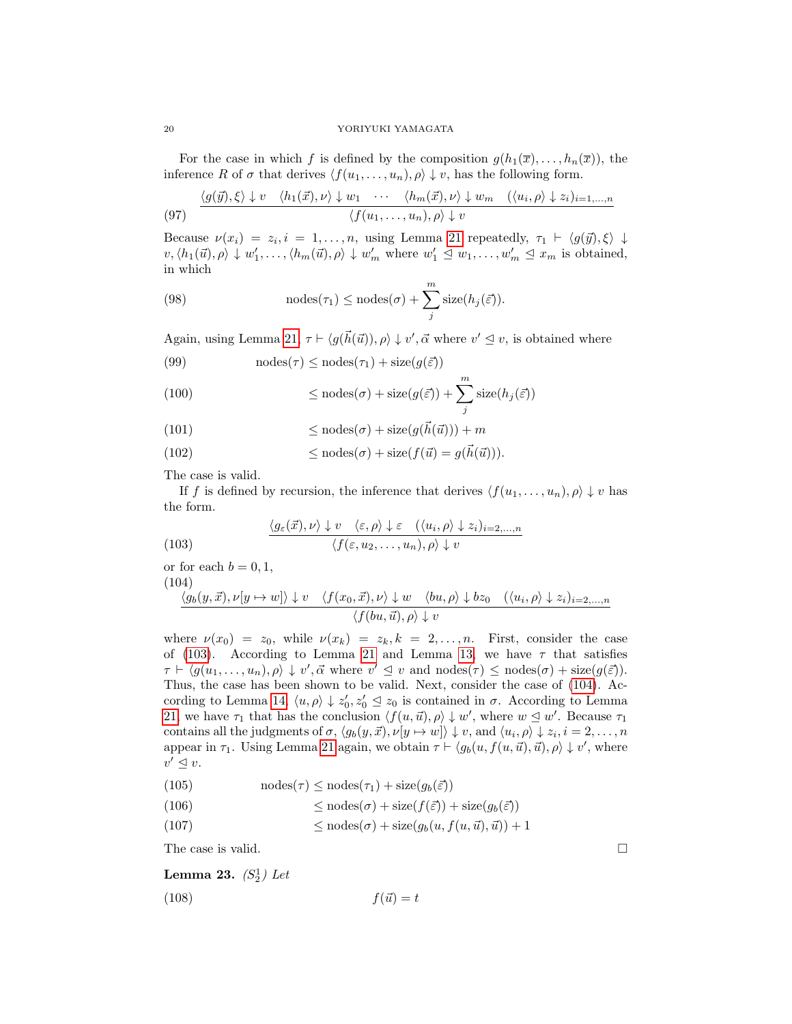For the case in which f is defined by the composition  $g(h_1(\overline{x}), \ldots, h_n(\overline{x}))$ , the inference R of  $\sigma$  that derives  $\langle f(u_1, \ldots, u_n), \rho \rangle \downarrow v$ , has the following form.

(97) 
$$
\frac{\langle g(\vec{y}), \xi \rangle \downarrow v \quad \langle h_1(\vec{x}), \nu \rangle \downarrow w_1 \quad \cdots \quad \langle h_m(\vec{x}), \nu \rangle \downarrow w_m \quad (\langle u_i, \rho \rangle \downarrow z_i)_{i=1,\dots,n}}{\langle f(u_1, \dots, u_n), \rho \rangle \downarrow v}
$$

Because  $\nu(x_i) = z_i, i = 1, \ldots, n$ , using Lemma [21](#page-16-0) repeatedly,  $\tau_1 \vdash \langle g(\vec{y}), \xi \rangle \downarrow$  $v, \langle h_1(\vec{u}), \rho \rangle \downarrow w'_1, \ldots, \langle h_m(\vec{u}), \rho \rangle \downarrow w'_m$  where  $w'_1 \leq w_1, \ldots, w'_m \leq x_m$  is obtained, in which

(98) 
$$
\operatorname{nodes}(\tau_1) \leq \operatorname{nodes}(\sigma) + \sum_{j}^{m} \operatorname{size}(h_j(\vec{\varepsilon})).
$$

Again, using Lemma [21,](#page-16-0)  $\tau \vdash \langle g(\vec{h}(\vec{u})), \rho \rangle \downarrow v', \vec{\alpha}$  where  $v' \leq v$ , is obtained where

(99) 
$$
\operatorname{nodes}(\tau) \leq \operatorname{nodes}(\tau_1) + \operatorname{size}(g(\vec{\varepsilon}))
$$

(100) 
$$
\leq \operatorname{nodes}(\sigma) + \operatorname{size}(g(\vec{\varepsilon})) + \sum_{j}^{m} \operatorname{size}(h_j(\vec{\varepsilon}))
$$

(101) 
$$
\leq \operatorname{nodes}(\sigma) + \operatorname{size}(g(\vec{h}(\vec{u}))) + m
$$

(102) 
$$
\leq \operatorname{nodes}(\sigma) + \operatorname{size}(f(\vec{u}) = g(\vec{h}(\vec{u}))).
$$

The case is valid.

If f is defined by recursion, the inference that derives  $\langle f(u_1, \ldots, u_n), \rho \rangle \downarrow v$  has the form.

<span id="page-19-1"></span>(103) 
$$
\frac{\langle g_{\varepsilon}(\vec{x}), \nu \rangle \downarrow v \quad \langle \varepsilon, \rho \rangle \downarrow \varepsilon \quad (\langle u_i, \rho \rangle \downarrow z_i)_{i=2,\dots,n}}{\langle f(\varepsilon, u_2, \dots, u_n), \rho \rangle \downarrow v}
$$

or for each  $b = 0, 1$ , (104)

<span id="page-19-2"></span>
$$
\frac{\langle g_b(y, \vec{x}), \nu[y \mapsto w] \rangle \downarrow v \quad \langle f(x_0, \vec{x}), \nu \rangle \downarrow w \quad \langle bu, \rho \rangle \downarrow bz_0 \quad (\langle u_i, \rho \rangle \downarrow z_i)_{i=2,\dots,n}}{\langle f(bu, \vec{u}), \rho \rangle \downarrow v}
$$

where  $\nu(x_0) = z_0$ , while  $\nu(x_k) = z_k, k = 2, \ldots, n$ . First, consider the case of [\(103\)](#page-19-1). According to Lemma [21](#page-16-0) and Lemma [13,](#page-11-2) we have  $\tau$  that satisfies  $\tau \vdash \langle g(u_1,\ldots,u_n),\rho\rangle \downarrow v',\vec{\alpha}$  where  $v' \leq v$  and  $\text{nodes}(\tau) \leq \text{nodes}(\sigma) + \text{size}(g(\vec{\varepsilon}))$ . Thus, the case has been shown to be valid. Next, consider the case of [\(104\)](#page-19-2). Ac-cording to Lemma [14,](#page-11-3)  $\langle u, \rho \rangle \downarrow z'_0, z'_0 \leq z_0$  is contained in  $\sigma$ . According to Lemma [21,](#page-16-0) we have  $\tau_1$  that has the conclusion  $\langle f(u, \vec{u}), \rho \rangle \downarrow w'$ , where  $w \leq w'$ . Because  $\tau_1$ contains all the judgments of  $\sigma$ ,  $\langle g_b(y, \vec{x}), \nu[y \mapsto w] \rangle \downarrow v$ , and  $\langle u_i, \rho \rangle \downarrow z_i$ ,  $i = 2, \ldots, n$ appear in  $\tau_1$ . Using Lemma [21](#page-16-0) again, we obtain  $\tau \vdash \langle g_b(u, f(u, \vec{u}), \vec{u}), \rho \rangle \downarrow v'$ , where  $v' \trianglelefteq v.$ 

(105) 
$$
\qquad \qquad \text{nodes}(\tau) \leq \text{nodes}(\tau_1) + \text{size}(g_b(\vec{\varepsilon}))
$$

(106) 
$$
\leq \mathrm{nodes}(\sigma) + \mathrm{size}(f(\vec{\varepsilon})) + \mathrm{size}(g_b(\vec{\varepsilon}))
$$

(107) 
$$
\leq \operatorname{nodes}(\sigma) + \operatorname{size}(g_b(u, f(u, \vec{u}), \vec{u})) + 1
$$

The case is valid.  $\square$ 

<span id="page-19-3"></span><span id="page-19-0"></span>**Lemma 23.** 
$$
(S_2^1) Let
$$
  
(108)  $f(\vec{u}) = t$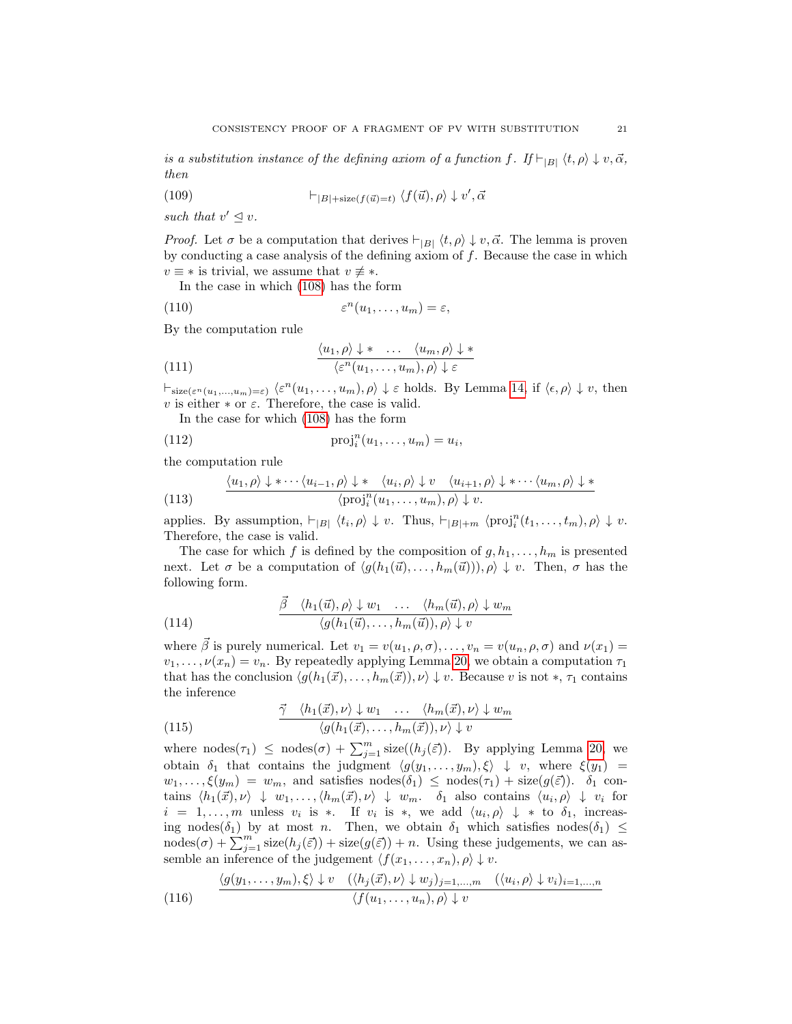is a substitution instance of the defining axiom of a function f. If  $\vdash_{|B|} \langle t, \rho \rangle \downarrow v, \vec{\alpha},$ then

(109) 
$$
\vdash_{|B| + \text{size}(f(\vec{u}) = t)} \langle f(\vec{u}), \rho \rangle \downarrow v', \vec{\alpha}
$$

such that  $v' \leq v$ .

*Proof.* Let  $\sigma$  be a computation that derives  $\vdash_{|B|} \langle t, \rho \rangle \downarrow v, \vec{\alpha}$ . The lemma is proven by conducting a case analysis of the defining axiom of  $f$ . Because the case in which  $v \equiv *$  is trivial, we assume that  $v \not\equiv *$ .

In the case in which [\(108\)](#page-19-3) has the form

(110) 
$$
\varepsilon^{n}(u_{1},\ldots,u_{m})=\varepsilon,
$$

By the computation rule

(111) 
$$
\frac{\langle u_1, \rho \rangle \downarrow \ast \dots \langle u_m, \rho \rangle \downarrow \ast}{\langle \varepsilon^n(u_1, \dots, u_m), \rho \rangle \downarrow \varepsilon}
$$

 $\vdash_{size(\varepsilon^n(u_1,...,u_m)=\varepsilon)} \langle \varepsilon^n(u_1,...,u_m), \rho \rangle \downarrow \varepsilon$  holds. By Lemma [14,](#page-11-3) if  $\langle \epsilon, \rho \rangle \downarrow v$ , then v is either  $*$  or  $\varepsilon$ . Therefore, the case is valid.

In the case for which [\(108\)](#page-19-3) has the form

$$
(112) \t\t\t\tprojin(u1,...,um) = ui,
$$

the computation rule

(113) 
$$
\frac{\langle u_1, \rho \rangle \downarrow * \cdots \langle u_{i-1}, \rho \rangle \downarrow * \langle u_i, \rho \rangle \downarrow v \langle u_{i+1}, \rho \rangle \downarrow * \cdots \langle u_m, \rho \rangle \downarrow *}{\langle \text{proj}_i^n(u_1, \ldots, u_m), \rho \rangle \downarrow v}.
$$

applies. By assumption,  $\vdash_{|B|} \langle t_i, \rho \rangle \downarrow v$ . Thus,  $\vdash_{|B|+m} \langle \text{proj}_i^n(t_1, \ldots, t_m), \rho \rangle \downarrow v$ . Therefore, the case is valid.

The case for which f is defined by the composition of  $g, h_1, \ldots, h_m$  is presented next. Let  $\sigma$  be a computation of  $\langle g(h_1(\vec{u}), \ldots, h_m(\vec{u}))), \rho \rangle \downarrow v$ . Then,  $\sigma$  has the following form.

(114) 
$$
\frac{\vec{\beta} \quad \langle h_1(\vec{u}), \rho \rangle \downarrow w_1 \quad \dots \quad \langle h_m(\vec{u}), \rho \rangle \downarrow w_m}{\langle g(h_1(\vec{u}), \dots, h_m(\vec{u})), \rho \rangle \downarrow v}
$$

where  $\vec{\beta}$  is purely numerical. Let  $v_1 = v(u_1, \rho, \sigma), \ldots, v_n = v(u_n, \rho, \sigma)$  and  $\nu(x_1) =$  $v_1, \ldots, v(x_n) = v_n$ . By repeatedly applying Lemma [20,](#page-14-0) we obtain a computation  $\tau_1$ that has the conclusion  $\langle g(h_1(\vec{x}), \ldots, h_m(\vec{x})), \nu \rangle \downarrow v$ . Because v is not  $*, \tau_1$  contains the inference

(115) 
$$
\frac{\vec{\gamma} \quad \langle h_1(\vec{x}), \nu \rangle \downarrow w_1 \quad \dots \quad \langle h_m(\vec{x}), \nu \rangle \downarrow w_m}{\langle g(h_1(\vec{x}), \dots, h_m(\vec{x})), \nu \rangle \downarrow v}
$$

where nodes $(\tau_1) \leq \text{nodes}(\sigma) + \sum_{j=1}^m \text{size}((h_j(\vec{\varepsilon}))$ . By applying Lemma [20,](#page-14-0) we obtain  $\delta_1$  that contains the judgment  $\langle g(y_1, \ldots, y_m), \xi \rangle \downarrow v$ , where  $\xi(y_1) =$  $w_1, \ldots, \xi(y_m) = w_m$ , and satisfies nodes $(\delta_1) \leq \text{nodes}(\tau_1) + \text{size}(g(\vec{\varepsilon}))$ .  $\delta_1$  contains  $\langle h_1(\vec{x}), \nu \rangle \downarrow w_1, \ldots, \langle h_m(\vec{x}), \nu \rangle \downarrow w_m$ .  $\delta_1$  also contains  $\langle u_i, \rho \rangle \downarrow v_i$  for  $i = 1, \ldots, m$  unless  $v_i$  is \*. If  $v_i$  is \*, we add  $\langle u_i, \rho \rangle \downarrow *$  to  $\delta_1$ , increasing nodes( $\delta_1$ ) by at most n. Then, we obtain  $\delta_1$  which satisfies nodes( $\delta_1$ )  $\leq$  $\overline{\text{nodes}}(\sigma) + \sum_{j=1}^{m} \text{size}(h_j(\vec{\varepsilon})) + \text{size}(g(\vec{\varepsilon})) + n$ . Using these judgements, we can assemble an inference of the judgement  $\langle f(x_1, \ldots, x_n), \rho \rangle \downarrow v$ .

(116) 
$$
\frac{\langle g(y_1,\ldots,y_m),\xi\rangle \downarrow v \quad (\langle h_j(\vec{x}),\nu\rangle \downarrow w_j)_{j=1,\ldots,m} \quad (\langle u_i,\rho\rangle \downarrow v_i)_{i=1,\ldots,n}}{\langle f(u_1,\ldots,u_n),\rho\rangle \downarrow v}
$$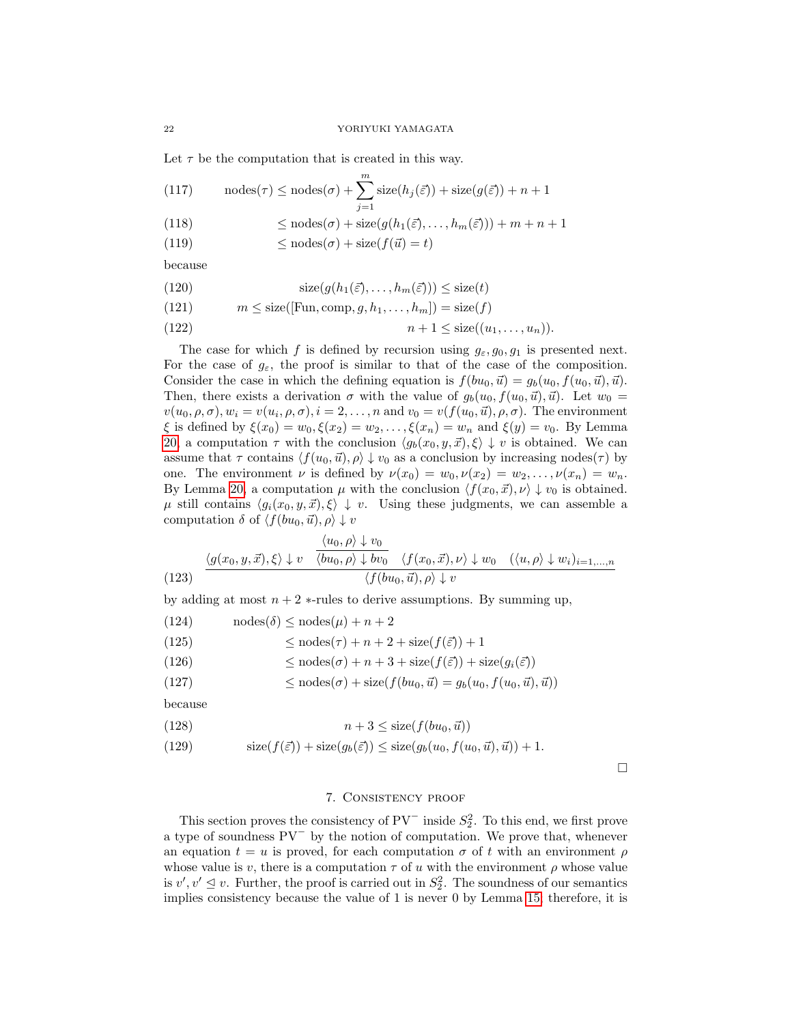Let  $\tau$  be the computation that is created in this way.

(117) 
$$
\operatorname{nodes}(\tau) \le \operatorname{nodes}(\sigma) + \sum_{j=1}^m \operatorname{size}(h_j(\vec{\varepsilon})) + \operatorname{size}(g(\vec{\varepsilon})) + n + 1
$$

(118) 
$$
\leq \operatorname{nodes}(\sigma) + \operatorname{size}(g(h_1(\vec{\varepsilon}), \dots, h_m(\vec{\varepsilon}))) + m + n + 1
$$

(119)  $<$  nodes( $\sigma$ ) + size( $f(\vec{u}) = t$ )

because

(120) 
$$
\operatorname{size}(g(h_1(\vec{\varepsilon}),...,h_m(\vec{\varepsilon}))) \leq \operatorname{size}(t)
$$

(121) 
$$
m \leq \text{size}([\text{Fun}, \text{comp}, g, h_1, \dots, h_m]) = \text{size}(f)
$$

$$
(122) \t\t n+1 \leq size((u_1,\ldots,u_n)).
$$

The case for which f is defined by recursion using  $g_{\varepsilon}, g_0, g_1$  is presented next. For the case of  $g_{\varepsilon}$ , the proof is similar to that of the case of the composition. Consider the case in which the defining equation is  $f(bu_0, \vec{u}) = g_b(u_0, f(u_0, \vec{u}), \vec{u}).$ Then, there exists a derivation  $\sigma$  with the value of  $g_b(u_0, f(u_0, \vec{u}), \vec{u})$ . Let  $w_0 =$  $v(u_0, \rho, \sigma), w_i = v(u_i, \rho, \sigma), i = 2, \ldots, n$  and  $v_0 = v(f(u_0, \vec{u}), \rho, \sigma)$ . The environment  $\xi$  is defined by  $\xi(x_0) = w_0, \xi(x_2) = w_2, \dots, \xi(x_n) = w_n$  and  $\xi(y) = v_0$ . By Lemma [20,](#page-14-0) a computation  $\tau$  with the conclusion  $\langle g_b(x_0, y, \vec{x}), \xi \rangle \downarrow v$  is obtained. We can assume that  $\tau$  contains  $\langle f(u_0, \vec{u}), \rho \rangle \downarrow v_0$  as a conclusion by increasing nodes( $\tau$ ) by one. The environment  $\nu$  is defined by  $\nu(x_0) = w_0, \nu(x_2) = w_2, \ldots, \nu(x_n) = w_n$ . By Lemma [20,](#page-14-0) a computation  $\mu$  with the conclusion  $\langle f(x_0, \vec{x}), \nu \rangle \downarrow v_0$  is obtained.  $\mu$  still contains  $\langle g_i(x_0, y, \vec{x}), \xi \rangle \downarrow v$ . Using these judgments, we can assemble a computation  $\delta$  of  $\langle f(bu_0, \vec{u}), \rho \rangle \downarrow v$ 

(123) 
$$
\frac{\langle g(x_0, y, \vec{x}), \xi \rangle \downarrow v}{\langle bu_0, \rho \rangle \downarrow bv_0} \frac{\langle f(x_0, \vec{x}), \nu \rangle \downarrow w_0}{\langle f(bu_0, \vec{u}), \rho \rangle \downarrow w_0} \frac{\langle (u, \rho) \downarrow w_i \rangle_{i=1,...,n}}{\langle f(bu_0, \vec{u}), \rho \rangle \downarrow v}
$$

by adding at most  $n + 2$  ∗-rules to derive assumptions. By summing up,

(124) 
$$
\operatorname{nodes}(\delta) \le \operatorname{nodes}(\mu) + n + 2
$$

(125) 
$$
\leq \mathrm{nodes}(\tau) + n + 2 + \mathrm{size}(f(\vec{\varepsilon})) + 1
$$

(126) 
$$
\leq \mathrm{nodes}(\sigma) + n + 3 + \mathrm{size}(f(\vec{\varepsilon})) + \mathrm{size}(g_i(\vec{\varepsilon}))
$$

$$
(127) \qquad \qquad \leq \operatorname{nodes}(\sigma) + \operatorname{size}(f(bu_0, \vec{u}) = g_b(u_0, f(u_0, \vec{u}), \vec{u}))
$$

because

$$
(128) \t\t n+3 \leq \text{size}(f(bu_0, \vec{u}))
$$

(129) 
$$
\operatorname{size}(f(\vec{\varepsilon})) + \operatorname{size}(g_b(\vec{\varepsilon})) \le \operatorname{size}(g_b(u_0, f(u_0, \vec{u}), \vec{u})) + 1.
$$

 $\Box$ 

# 7. Consistency proof

<span id="page-21-0"></span>This section proves the consistency of  $PV^-$  inside  $S_2^2$ . To this end, we first prove a type of soundness PV<sup>−</sup> by the notion of computation. We prove that, whenever an equation  $t = u$  is proved, for each computation  $\sigma$  of t with an environment  $\rho$ whose value is v, there is a computation  $\tau$  of u with the environment  $\rho$  whose value is  $v', v' \leq v$ . Further, the proof is carried out in  $S_2^2$ . The soundness of our semantics implies consistency because the value of 1 is never 0 by Lemma [15;](#page-11-4) therefore, it is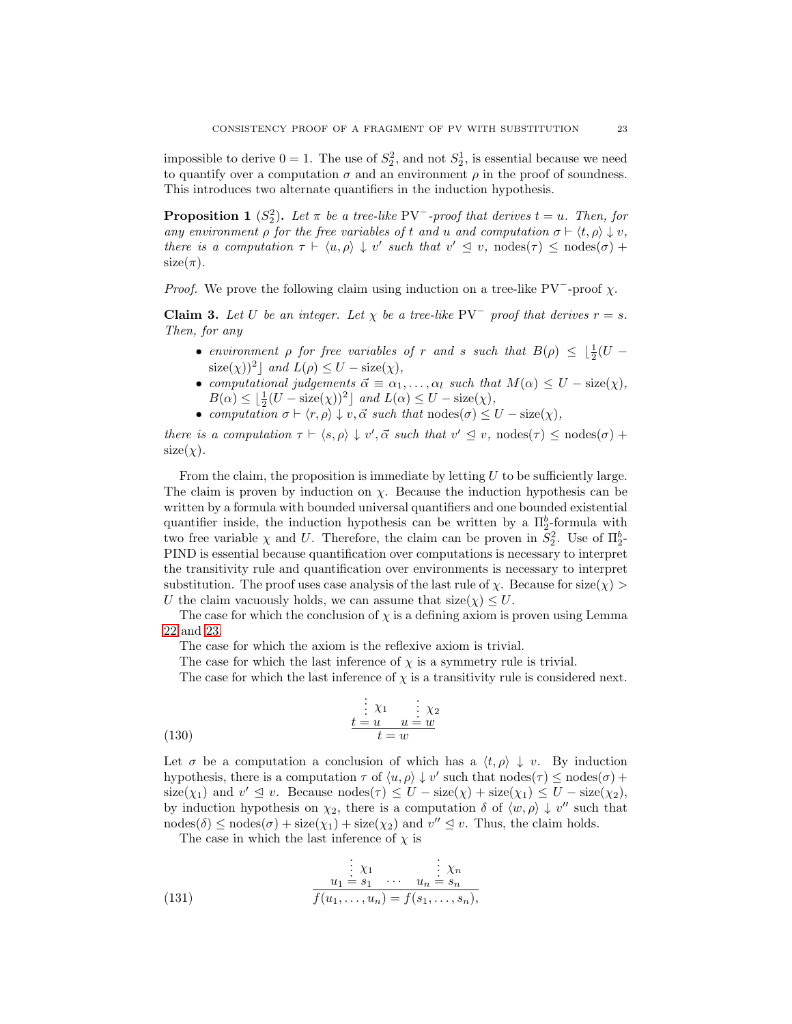impossible to derive  $0 = 1$ . The use of  $S_2^2$ , and not  $S_2^1$ , is essential because we need to quantify over a computation  $\sigma$  and an environment  $\rho$  in the proof of soundness. This introduces two alternate quantifiers in the induction hypothesis.

<span id="page-22-0"></span>**Proposition 1** (S<sub>2</sub><sup>2</sup>). Let  $\pi$  be a tree-like PV<sup>-</sup>-proof that derives  $t = u$ . Then, for any environment  $\rho$  for the free variables of t and u and computation  $\sigma \vdash \langle t, \rho \rangle \downarrow v$ , there is a computation  $\tau \vdash \langle u, \rho \rangle \downarrow v'$  such that  $v' \preceq v$ , nodes $(\tau) \preceq \text{nodes}(\sigma)$  +  $size(\pi)$ .

*Proof.* We prove the following claim using induction on a tree-like PV<sup>-</sup>-proof  $\chi$ .

**Claim 3.** Let U be an integer. Let  $\chi$  be a tree-like PV<sup>-</sup> proof that derives  $r = s$ . Then, for any

- environment  $\rho$  for free variables of r and s such that  $B(\rho) \leq \lfloor \frac{1}{2}(U \text{size}(\chi))^2$  and  $L(\rho) \leq U - \text{size}(\chi)$ ,
- computational judgements  $\vec{\alpha} \equiv \alpha_1, \ldots, \alpha_l$  such that  $M(\alpha) \leq U \text{size}(\chi)$ ,  $B(\alpha) \leq \lfloor \frac{1}{2}(U - \text{size}(\chi))^2 \rfloor$  and  $L(\alpha) \leq U - \text{size}(\chi)$ ,
- computation  $\sigma \vdash \langle r, \rho \rangle \downarrow v, \vec{\alpha}$  such that  $\text{nodes}(\sigma) \leq U \text{size}(\chi)$ ,

there is a computation  $\tau \vdash \langle s, \rho \rangle \downarrow v', \vec{\alpha}$  such that  $v' \leq v$ , nodes $(\tau) \leq \text{nodes}(\sigma)$  +  $size(\chi)$ .

From the claim, the proposition is immediate by letting  $U$  to be sufficiently large. The claim is proven by induction on  $\chi$ . Because the induction hypothesis can be written by a formula with bounded universal quantifiers and one bounded existential quantifier inside, the induction hypothesis can be written by a  $\Pi_2^b$ -formula with two free variable  $\chi$  and U. Therefore, the claim can be proven in  $S_2^2$ . Use of  $\Pi_2^b$ -PIND is essential because quantification over computations is necessary to interpret the transitivity rule and quantification over environments is necessary to interpret substitution. The proof uses case analysis of the last rule of  $\chi$ . Because for size( $\chi$ ) > U the claim vacuously holds, we can assume that  $size(\chi) \leq U$ .

The case for which the conclusion of  $\chi$  is a defining axiom is proven using Lemma [22](#page-18-0) and [23.](#page-19-0)

The case for which the axiom is the reflexive axiom is trivial.

The case for which the last inference of  $\chi$  is a symmetry rule is trivial.

The case for which the last inference of  $\chi$  is a transitivity rule is considered next.

(130) 
$$
\begin{array}{c}\n\vdots \chi_1 \\
t = u \quad u = w \\
\hline\nt = w\n\end{array}
$$

Let  $\sigma$  be a computation a conclusion of which has a  $\langle t, \rho \rangle \downarrow v$ . By induction hypothesis, there is a computation  $\tau$  of  $\langle u, \rho \rangle \downarrow v'$  such that nodes( $\tau$ )  $\leq$  nodes( $\sigma$ ) +  $size(\chi_1)$  and  $v' \leq v$ . Because nodes $(\tau) \leq U - size(\chi) + size(\chi_1) \leq U - size(\chi_2)$ , by induction hypothesis on  $\chi_2$ , there is a computation  $\delta$  of  $\langle w, \rho \rangle \downarrow v''$  such that nodes( $\delta$ )  $\leq$  nodes( $\sigma$ ) + size( $\chi$ <sub>1</sub>) + size( $\chi$ <sub>2</sub>) and  $v'' \leq v$ . Thus, the claim holds.

The case in which the last inference of  $\chi$  is

(131) 
$$
\begin{array}{c}\n\vdots \ \chi_1 \\
u_1 = s_1 \ \cdots \ u_n = s_n \\
\hline\nf(u_1, \ldots, u_n) = f(s_1, \ldots, s_n),\n\end{array}
$$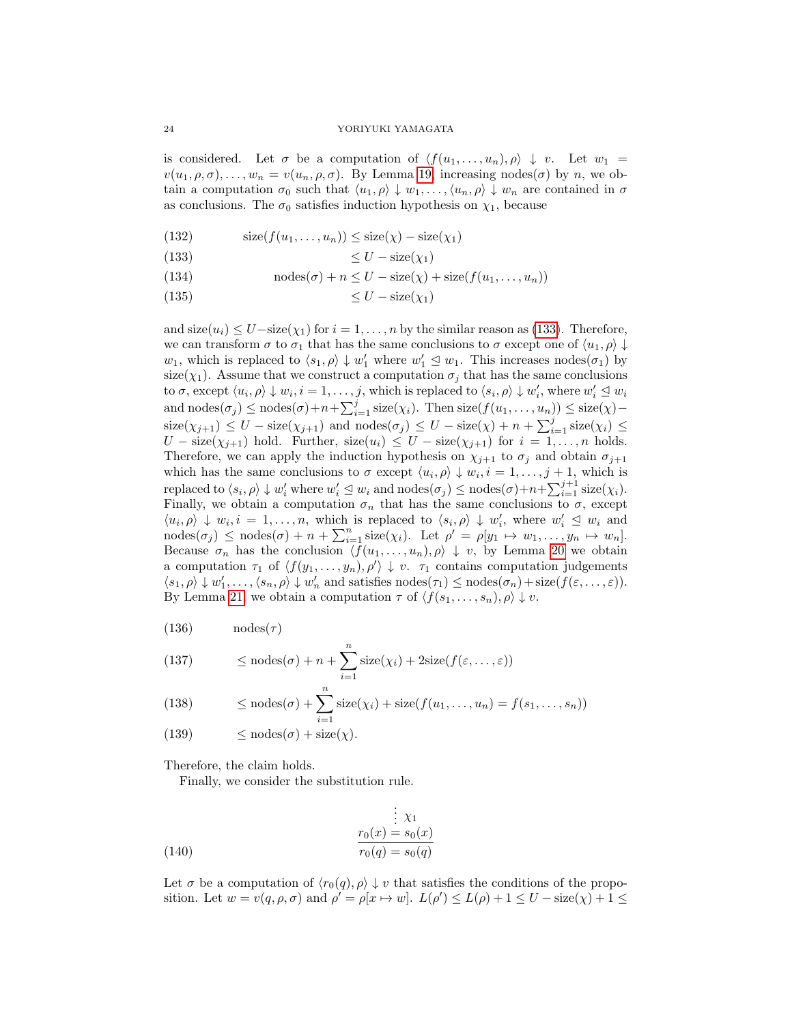is considered. Let  $\sigma$  be a computation of  $\langle f(u_1, \ldots, u_n), \rho \rangle \downarrow v$ . Let  $w_1 =$  $v(u_1, \rho, \sigma), \ldots, w_n = v(u_n, \rho, \sigma)$ . By Lemma [19,](#page-13-1) increasing nodes( $\sigma$ ) by n, we obtain a computation  $\sigma_0$  such that  $\langle u_1, \rho \rangle \downarrow w_1, \ldots, \langle u_n, \rho \rangle \downarrow w_n$  are contained in  $\sigma$ as conclusions. The  $\sigma_0$  satisfies induction hypothesis on  $\chi_1$ , because

(132)  $\operatorname{size}(f(u_1, \ldots, u_n)) \leq \operatorname{size}(\chi) - \operatorname{size}(\chi_1)$ 

<span id="page-23-0"></span>≤ U − size(χ1)(133)

- (134)  $\operatorname{nodes}(\sigma) + n \le U \operatorname{size}(\chi) + \operatorname{size}(f(u_1, \ldots, u_n))$
- $\langle U \text{size}(\chi_1) \rangle$

and  $size(u_i) \leq U - size(\chi_1)$  for  $i = 1, \ldots, n$  by the similar reason as [\(133\)](#page-23-0). Therefore, we can transform  $\sigma$  to  $\sigma_1$  that has the same conclusions to  $\sigma$  except one of  $\langle u_1, \rho \rangle \downarrow$  $w_1$ , which is replaced to  $\langle s_1, \rho \rangle \downarrow w_1'$  where  $w_1' \leq w_1$ . This increases nodes $(\sigma_1)$  by size( $\chi_1$ ). Assume that we construct a computation  $\sigma_j$  that has the same conclusions to  $\sigma$ , except  $\langle u_i, \rho \rangle \downarrow w_i$ ,  $i = 1, \ldots, j$ , which is replaced to  $\langle s_i, \rho \rangle \downarrow w'_i$ , where  $w'_i \leq w_i$ and nodes $(\sigma_j) \leq \text{nodes}(\sigma) + n + \sum_{i=1}^j \text{size}(\chi_i)$ . Then size $(f(u_1, \ldots, u_n)) \leq \text{size}(\chi)$  $size(\chi_{j+1}) \leq U - size(\chi_{j+1})$  and  $nodes(\sigma_j) \leq U - size(\chi) + n + \sum_{i=1}^j size(\chi_i) \leq$  $U - \text{size}(\chi_{j+1})$  hold. Further,  $\text{size}(u_i) \leq U - \text{size}(\chi_{j+1})$  for  $i = 1, ..., n$  holds. Therefore, we can apply the induction hypothesis on  $\chi_{j+1}$  to  $\sigma_j$  and obtain  $\sigma_{j+1}$ which has the same conclusions to  $\sigma$  except  $\langle u_i, \rho \rangle \downarrow w_i, i = 1, \ldots, j + 1$ , which is replaced to  $\langle s_i, \rho \rangle \downarrow w'_i$  where  $w'_i \leq w_i$  and  $\text{nodes}(\sigma_j) \leq \text{nodes}(\sigma) + n + \sum_{i=1}^{j+1} \text{size}(\chi_i)$ . Finally, we obtain a computation  $\sigma_n$  that has the same conclusions to  $\sigma$ , except  $\langle u_i, \rho \rangle \downarrow w_i, i = 1, \ldots, n$ , which is replaced to  $\langle s_i, \rho \rangle \downarrow w'_i$ , where  $w'_i \leq w_i$  and  $\text{nodes}(\sigma_j) \leq \text{nodes}(\sigma) + n + \sum_{i=1}^n \text{size}(\chi_i)$ . Let  $\rho' = \rho[y_1 \mapsto w_1, \ldots, y_n \mapsto w_n]$ . Because  $\sigma_n$  has the conclusion  $\langle f(u_1, \ldots, u_n), \rho \rangle \downarrow v$ , by Lemma [20](#page-14-0) we obtain a computation  $\tau_1$  of  $\langle f(y_1, \ldots, y_n), \rho' \rangle \downarrow v$ .  $\tau_1$  contains computation judgements  $\langle s_1, \rho \rangle \downarrow w'_1, \ldots, \langle s_n, \rho \rangle \downarrow w'_n$  and satisfies  $\text{nodes}(\tau_1) \leq \text{nodes}(\sigma_n) + \text{size}(f(\varepsilon, \ldots, \varepsilon)).$ By Lemma [21,](#page-16-0) we obtain a computation  $\tau$  of  $\langle f(s_1, \ldots, s_n), \rho \rangle \downarrow v$ .

$$
(136) \qquad \qquad \text{nodes}(\tau)
$$

(137) 
$$
\leq \operatorname{nodes}(\sigma) + n + \sum_{i=1}^n \operatorname{size}(\chi_i) + 2\operatorname{size}(f(\varepsilon, ..., \varepsilon))
$$

(138) 
$$
\leq \operatorname{nodes}(\sigma) + \sum_{i=1}^n \operatorname{size}(\chi_i) + \operatorname{size}(f(u_1, \ldots, u_n) = f(s_1, \ldots, s_n))
$$

(139) 
$$
\leq \mathrm{nodes}(\sigma) + \mathrm{size}(\chi).
$$

Therefore, the claim holds.

Finally, we consider the substitution rule.

$$
\begin{array}{c}\n\vdots \ \chi_1 \\
r_0(x) = s_0(x) \\
\hline\nr_0(q) = s_0(q)\n\end{array}
$$
\n(140)

Let  $\sigma$  be a computation of  $\langle r_0(q), \rho \rangle \downarrow v$  that satisfies the conditions of the proposition. Let  $w = v(q, \rho, \sigma)$  and  $\rho' = \rho[x \mapsto w]$ .  $L(\rho') \le L(\rho) + 1 \le U - \text{size}(\chi) + 1 \le$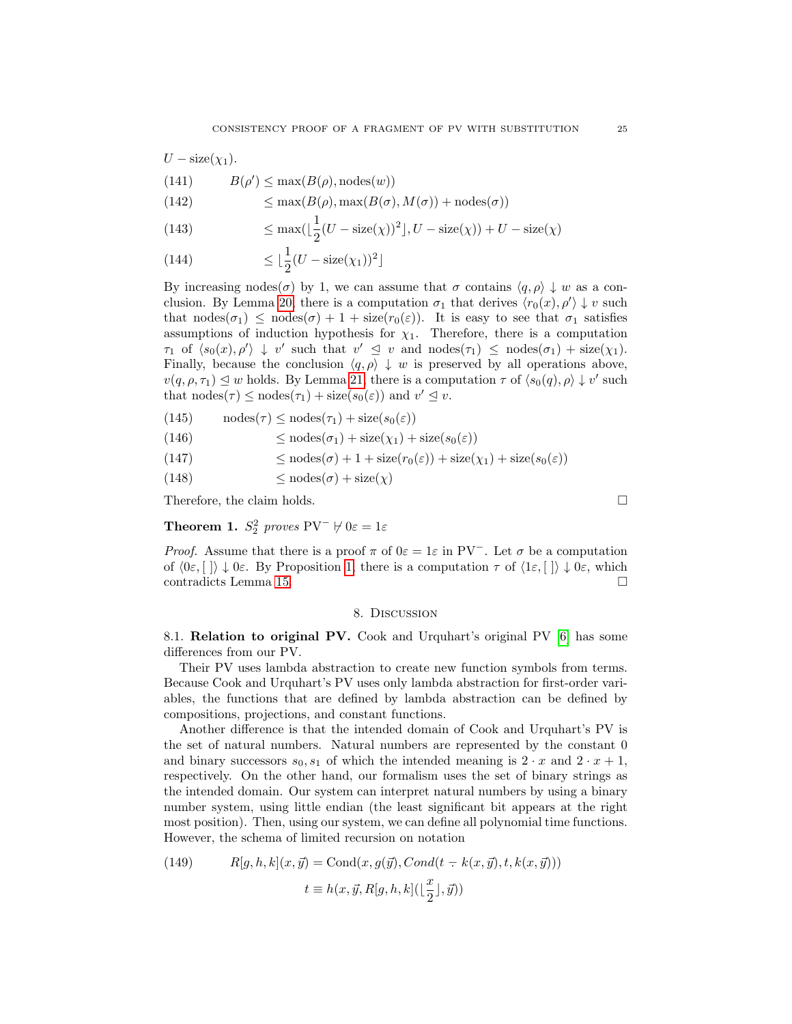$$
U-\mathrm{size}(\chi_1).
$$

(141) 
$$
B(\rho') \le \max(B(\rho), \text{nodes}(w))
$$

(142) 
$$
\leq \max(B(\rho), \max(B(\sigma), M(\sigma)) + \text{nodes}(\sigma))
$$

(143) 
$$
\leq \max(\lfloor \frac{1}{2}(U - \text{size}(\chi))^2 \rfloor, U - \text{size}(\chi)) + U - \text{size}(\chi)
$$

(144) 
$$
\leq \lfloor \frac{1}{2} (U - \text{size}(\chi_1))^2 \rfloor
$$

By increasing nodes( $\sigma$ ) by 1, we can assume that  $\sigma$  contains  $\langle q, \rho \rangle \downarrow w$  as a con-clusion. By Lemma [20,](#page-14-0) there is a computation  $\sigma_1$  that derives  $\langle r_0(x), \rho' \rangle \downarrow v$  such that nodes $(\sigma_1) \leq \text{nodes}(\sigma) + 1 + \text{size}(r_0(\varepsilon))$ . It is easy to see that  $\sigma_1$  satisfies assumptions of induction hypothesis for  $\chi_1$ . Therefore, there is a computation  $\tau_1$  of  $\langle s_0(x), \rho' \rangle \downarrow v'$  such that  $v' \leq v$  and  $\text{nodes}(\tau_1) \leq \text{nodes}(\sigma_1) + \text{size}(\chi_1)$ . Finally, because the conclusion  $\langle q, \rho \rangle \downarrow w$  is preserved by all operations above,  $v(q, \rho, \tau_1) \leq w$  holds. By Lemma [21,](#page-16-0) there is a computation  $\tau$  of  $\langle s_0(q), \rho \rangle \downarrow v'$  such that  $\text{nodes}(\tau) \leq \text{nodes}(\tau_1) + \text{size}(s_0(\varepsilon))$  and  $v' \leq v$ .

(145) 
$$
\operatorname{nodes}(\tau) \le \operatorname{nodes}(\tau_1) + \operatorname{size}(s_0(\varepsilon))
$$

(146) 
$$
\leq \mathrm{nodes}(\sigma_1) + \mathrm{size}(\chi_1) + \mathrm{size}(s_0(\varepsilon))
$$

(147) 
$$
\leq \mathrm{nodes}(\sigma) + 1 + \mathrm{size}(r_0(\varepsilon)) + \mathrm{size}(\chi_1) + \mathrm{size}(s_0(\varepsilon))
$$

(148) 
$$
\leq \mathrm{nodes}(\sigma) + \mathrm{size}(\chi)
$$

Therefore, the claim holds.

**Theorem 1.**  $S_2^2$  proves PV<sup>-</sup>  $\forall$  0 $\varepsilon = 1\varepsilon$ 

*Proof.* Assume that there is a proof  $\pi$  of  $0\varepsilon = 1\varepsilon$  in PV<sup>-</sup>. Let  $\sigma$  be a computation of  $\langle 0 \varepsilon, [\ ] \rangle \downarrow 0 \varepsilon$ . By Proposition [1,](#page-22-0) there is a computation  $\tau$  of  $\langle 1 \varepsilon, [\ ] \rangle \downarrow 0 \varepsilon$ , which contradicts Lemma [15.](#page-11-4)

#### 8. Discussion

<span id="page-24-1"></span><span id="page-24-0"></span>8.1. Relation to original PV. Cook and Urquhart's original PV [\[6\]](#page-27-5) has some differences from our PV.

Their PV uses lambda abstraction to create new function symbols from terms. Because Cook and Urquhart's PV uses only lambda abstraction for first-order variables, the functions that are defined by lambda abstraction can be defined by compositions, projections, and constant functions.

Another difference is that the intended domain of Cook and Urquhart's PV is the set of natural numbers. Natural numbers are represented by the constant 0 and binary successors  $s_0, s_1$  of which the intended meaning is  $2 \cdot x$  and  $2 \cdot x + 1$ , respectively. On the other hand, our formalism uses the set of binary strings as the intended domain. Our system can interpret natural numbers by using a binary number system, using little endian (the least significant bit appears at the right most position). Then, using our system, we can define all polynomial time functions. However, the schema of limited recursion on notation

<span id="page-24-2"></span>(149) 
$$
R[g, h, k](x, \vec{y}) = \text{Cond}(x, g(\vec{y}), Cond(t - k(x, \vec{y}), t, k(x, \vec{y})))
$$

$$
t \equiv h(x, \vec{y}, R[g, h, k](\lfloor \frac{x}{2} \rfloor, \vec{y}))
$$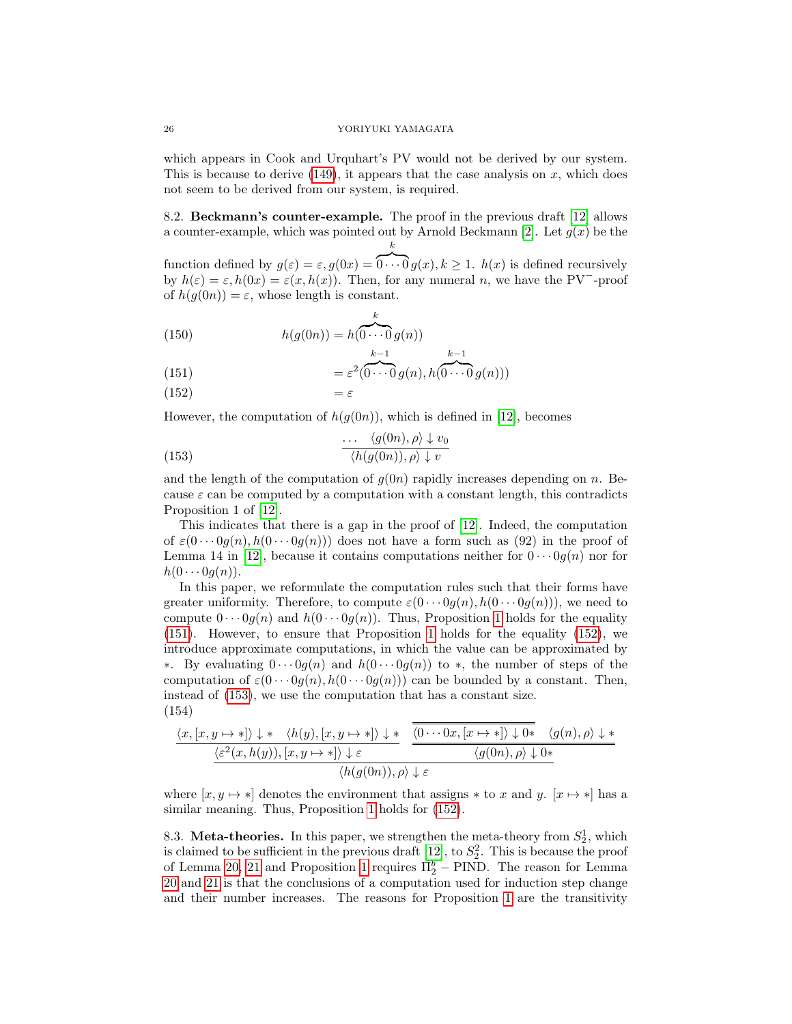which appears in Cook and Urquhart's PV would not be derived by our system. This is because to derive  $(149)$ , it appears that the case analysis on x, which does not seem to be derived from our system, is required.

8.2. Beckmann's counter-example. The proof in the previous draft [\[12\]](#page-27-9) allows a counter-example, which was pointed out by Arnold Beckmann [\[2\]](#page-27-10). Let  $g(x)$  be the k

function defined by  $g(\varepsilon) = \varepsilon, g(0x) = \widehat{0 \cdots 0} g(x), k \ge 1$ .  $h(x)$  is defined recursively by  $h(\varepsilon) = \varepsilon, h(0x) = \varepsilon(x, h(x))$ . Then, for any numeral n, we have the PV<sup>-</sup>-proof of  $h(q(0n)) = \varepsilon$ , whose length is constant.

(150) 
$$
h(g(0n)) = h\overbrace{(0 \cdots 0}^{k} g(n))
$$

<span id="page-25-1"></span>(151) 
$$
= \varepsilon^2 \overbrace{(0 \cdots 0}^{k-1} g(n), h(\overbrace{0 \cdots 0}^{k-1} g(n)))
$$

<span id="page-25-2"></span>(152)  $= \varepsilon$ 

However, the computation of  $h(g(0n))$ , which is defined in [\[12\]](#page-27-9), becomes

<span id="page-25-3"></span>(153) 
$$
\frac{\cdots \ \langle g(0n), \rho \rangle \downarrow v_0}{\langle h(g(0n)), \rho \rangle \downarrow v}
$$

and the length of the computation of  $g(0n)$  rapidly increases depending on n. Because  $\varepsilon$  can be computed by a computation with a constant length, this contradicts Proposition 1 of [\[12\]](#page-27-9).

This indicates that there is a gap in the proof of [\[12\]](#page-27-9). Indeed, the computation of  $\varepsilon(0 \cdots 0g(n), h(0 \cdots 0g(n)))$  does not have a form such as (92) in the proof of Lemma 14 in [\[12\]](#page-27-9), because it contains computations neither for  $0 \cdots 0q(n)$  nor for  $h(0\cdots 0q(n)).$ 

In this paper, we reformulate the computation rules such that their forms have greater uniformity. Therefore, to compute  $\varepsilon(0 \cdots 0g(n), h(0 \cdots 0g(n)))$ , we need to compute  $0 \cdots 0g(n)$  and  $h(0 \cdots 0g(n))$ . Thus, Proposition [1](#page-22-0) holds for the equality [\(151\)](#page-25-1). However, to ensure that Proposition [1](#page-22-0) holds for the equality [\(152\)](#page-25-2), we introduce approximate computations, in which the value can be approximated by ∗. By evaluating  $0 \cdots 0q(n)$  and  $h(0 \cdots 0q(n))$  to ∗, the number of steps of the computation of  $\varepsilon(0 \cdots 0g(n), h(0 \cdots 0g(n)))$  can be bounded by a constant. Then, instead of [\(153\)](#page-25-3), we use the computation that has a constant size. (154)

$$
\frac{\langle x, [x, y \mapsto *] \rangle \downarrow * \langle h(y), [x, y \mapsto *] \rangle \downarrow *}{\langle \varepsilon^2(x, h(y)), [x, y \mapsto *] \rangle \downarrow \varepsilon} \frac{\langle 0 \cdots 0x, [x \mapsto *] \rangle \downarrow 0* \langle g(n), \rho \rangle \downarrow *}{\langle g(0n), \rho \rangle \downarrow 0*} \frac{\langle g(n), \rho \rangle \downarrow *}{\langle h(g(0n)), \rho \rangle \downarrow \varepsilon}
$$

where  $[x, y \mapsto *]$  denotes the environment that assigns  $*$  to x and y.  $[x \mapsto *]$  has a similar meaning. Thus, Proposition [1](#page-22-0) holds for [\(152\)](#page-25-2).

<span id="page-25-0"></span>8.3. **Meta-theories.** In this paper, we strengthen the meta-theory from  $S_2^1$ , which is claimed to be sufficient in the previous draft [\[12\]](#page-27-9), to  $S_2^2$ . This is because the proof of Lemma [20,](#page-14-0) [21](#page-16-0) and Proposition [1](#page-22-0) requires  $\Pi_2^b$  – PIND. The reason for Lemma [20](#page-14-0) and [21](#page-16-0) is that the conclusions of a computation used for induction step change and their number increases. The reasons for Proposition [1](#page-22-0) are the transitivity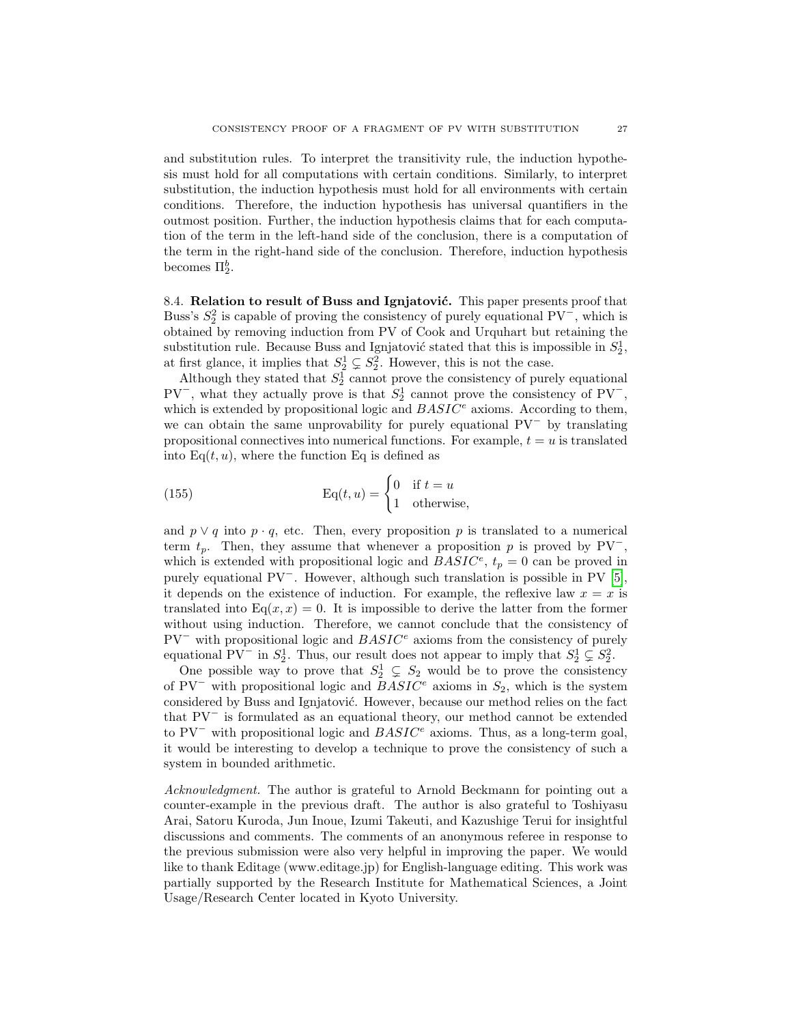and substitution rules. To interpret the transitivity rule, the induction hypothesis must hold for all computations with certain conditions. Similarly, to interpret substitution, the induction hypothesis must hold for all environments with certain conditions. Therefore, the induction hypothesis has universal quantifiers in the outmost position. Further, the induction hypothesis claims that for each computation of the term in the left-hand side of the conclusion, there is a computation of the term in the right-hand side of the conclusion. Therefore, induction hypothesis becomes  $\Pi_2^b$ .

<span id="page-26-0"></span>8.4. Relation to result of Buss and Ignjatović. This paper presents proof that Buss's  $S_2^2$  is capable of proving the consistency of purely equational PV<sup>-</sup>, which is obtained by removing induction from PV of Cook and Urquhart but retaining the substitution rule. Because Buss and Ignjatović stated that this is impossible in  $S_2^1$ , at first glance, it implies that  $S_2^1 \subsetneq S_2^2$ . However, this is not the case.

Although they stated that  $S_2^1$  cannot prove the consistency of purely equational  $PV^-$ , what they actually prove is that  $S_2^1$  cannot prove the consistency of  $PV^-$ , which is extended by propositional logic and  $BASIC<sup>e</sup>$  axioms. According to them, we can obtain the same unprovability for purely equational  $PV^-$  by translating propositional connectives into numerical functions. For example,  $t = u$  is translated into  $Eq(t, u)$ , where the function Eq is defined as

(155) 
$$
\mathbf{Eq}(t, u) = \begin{cases} 0 & \text{if } t = u \\ 1 & \text{otherwise,} \end{cases}
$$

and  $p \vee q$  into  $p \cdot q$ , etc. Then, every proposition p is translated to a numerical term  $t_p$ . Then, they assume that whenever a proposition p is proved by PV<sup>-</sup>, which is extended with propositional logic and  $BASIC<sup>e</sup>$ ,  $t_p = 0$  can be proved in purely equational PV<sup>−</sup>. However, although such translation is possible in PV [\[5\]](#page-27-11), it depends on the existence of induction. For example, the reflexive law  $x = x$  is translated into  $Eq(x, x) = 0$ . It is impossible to derive the latter from the former without using induction. Therefore, we cannot conclude that the consistency of  $PV^-$  with propositional logic and  $BASIC^e$  axioms from the consistency of purely equational PV<sup>-</sup> in  $S_2^1$ . Thus, our result does not appear to imply that  $S_2^1 \subsetneq S_2^2$ .

One possible way to prove that  $S_2^1 \subsetneq S_2$  would be to prove the consistency of PV<sup>-</sup> with propositional logic and  $BASIC<sup>e</sup>$  axioms in  $S<sub>2</sub>$ , which is the system considered by Buss and Ignjatović. However, because our method relies on the fact that PV<sup>−</sup> is formulated as an equational theory, our method cannot be extended to  $PV^-$  with propositional logic and  $BASIC^e$  axioms. Thus, as a long-term goal, it would be interesting to develop a technique to prove the consistency of such a system in bounded arithmetic.

Acknowledgment. The author is grateful to Arnold Beckmann for pointing out a counter-example in the previous draft. The author is also grateful to Toshiyasu Arai, Satoru Kuroda, Jun Inoue, Izumi Takeuti, and Kazushige Terui for insightful discussions and comments. The comments of an anonymous referee in response to the previous submission were also very helpful in improving the paper. We would like to thank Editage (www.editage.jp) for English-language editing. This work was partially supported by the Research Institute for Mathematical Sciences, a Joint Usage/Research Center located in Kyoto University.